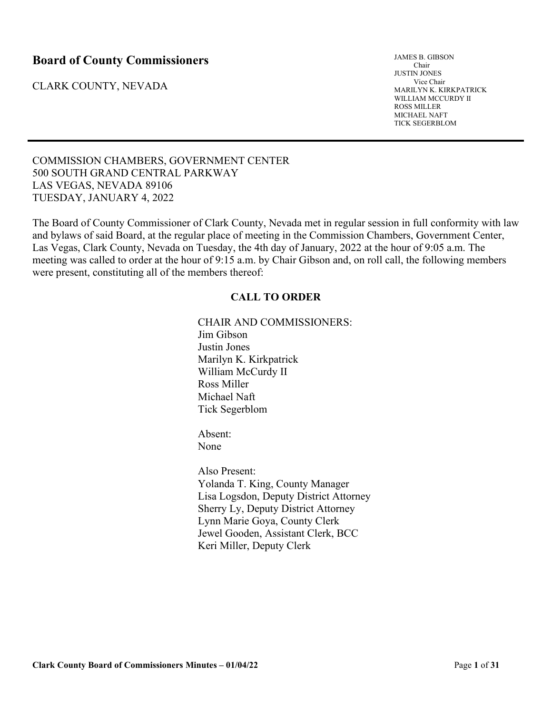# **Board of County Commissioners**

CLARK COUNTY, NEVADA

JAMES B. GIBSON Chair JUSTIN JONES Vice Chair MARILYN K. KIRKPATRICK WILLIAM MCCURDY II ROSS MILLER MICHAEL NAFT TICK SEGERBLOM

COMMISSION CHAMBERS, GOVERNMENT CENTER 500 SOUTH GRAND CENTRAL PARKWAY LAS VEGAS, NEVADA 89106 TUESDAY, JANUARY 4, 2022

The Board of County Commissioner of Clark County, Nevada met in regular session in full conformity with law and bylaws of said Board, at the regular place of meeting in the Commission Chambers, Government Center, Las Vegas, Clark County, Nevada on Tuesday, the 4th day of January, 2022 at the hour of 9:05 a.m. The meeting was called to order at the hour of 9:15 a.m. by Chair Gibson and, on roll call, the following members were present, constituting all of the members thereof:

### **CALL TO ORDER**

CHAIR AND COMMISSIONERS: Jim Gibson Justin Jones Marilyn K. Kirkpatrick William McCurdy II Ross Miller Michael Naft Tick Segerblom

Absent: None

Also Present: Yolanda T. King, County Manager Lisa Logsdon, Deputy District Attorney Sherry Ly, Deputy District Attorney Lynn Marie Goya, County Clerk Jewel Gooden, Assistant Clerk, BCC Keri Miller, Deputy Clerk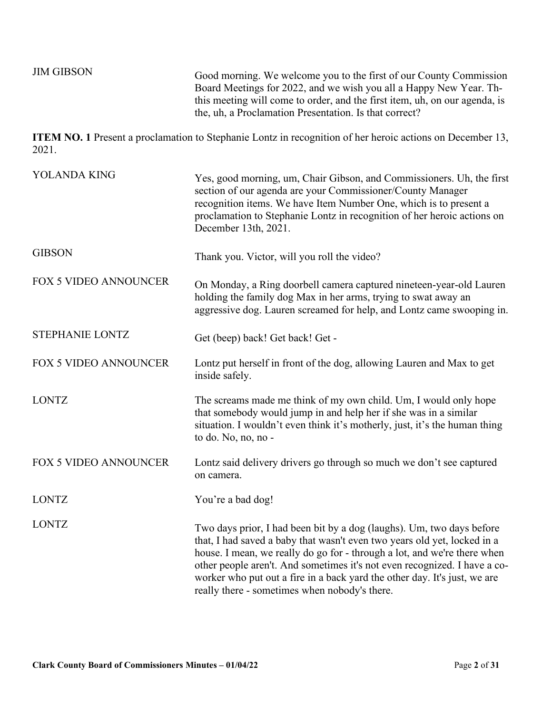| <b>JIM GIBSON</b>            | Good morning. We welcome you to the first of our County Commission<br>Board Meetings for 2022, and we wish you all a Happy New Year. Th-<br>this meeting will come to order, and the first item, uh, on our agenda, is<br>the, uh, a Proclamation Presentation. Is that correct?                                                                                                                                                         |
|------------------------------|------------------------------------------------------------------------------------------------------------------------------------------------------------------------------------------------------------------------------------------------------------------------------------------------------------------------------------------------------------------------------------------------------------------------------------------|
| 2021.                        | <b>ITEM NO. 1</b> Present a proclamation to Stephanie Lontz in recognition of her heroic actions on December 13,                                                                                                                                                                                                                                                                                                                         |
| YOLANDA KING                 | Yes, good morning, um, Chair Gibson, and Commissioners. Uh, the first<br>section of our agenda are your Commissioner/County Manager<br>recognition items. We have Item Number One, which is to present a<br>proclamation to Stephanie Lontz in recognition of her heroic actions on<br>December 13th, 2021.                                                                                                                              |
| <b>GIBSON</b>                | Thank you. Victor, will you roll the video?                                                                                                                                                                                                                                                                                                                                                                                              |
| <b>FOX 5 VIDEO ANNOUNCER</b> | On Monday, a Ring doorbell camera captured nineteen-year-old Lauren<br>holding the family dog Max in her arms, trying to swat away an<br>aggressive dog. Lauren screamed for help, and Lontz came swooping in.                                                                                                                                                                                                                           |
| STEPHANIE LONTZ              | Get (beep) back! Get back! Get -                                                                                                                                                                                                                                                                                                                                                                                                         |
| <b>FOX 5 VIDEO ANNOUNCER</b> | Lontz put herself in front of the dog, allowing Lauren and Max to get<br>inside safely.                                                                                                                                                                                                                                                                                                                                                  |
| <b>LONTZ</b>                 | The screams made me think of my own child. Um, I would only hope<br>that somebody would jump in and help her if she was in a similar<br>situation. I wouldn't even think it's motherly, just, it's the human thing<br>to do. No, no, no -                                                                                                                                                                                                |
| <b>FOX 5 VIDEO ANNOUNCER</b> | Lontz said delivery drivers go through so much we don't see captured<br>on camera.                                                                                                                                                                                                                                                                                                                                                       |
| <b>LONTZ</b>                 | You're a bad dog!                                                                                                                                                                                                                                                                                                                                                                                                                        |
| <b>LONTZ</b>                 | Two days prior, I had been bit by a dog (laughs). Um, two days before<br>that, I had saved a baby that wasn't even two years old yet, locked in a<br>house. I mean, we really do go for - through a lot, and we're there when<br>other people aren't. And sometimes it's not even recognized. I have a co-<br>worker who put out a fire in a back yard the other day. It's just, we are<br>really there - sometimes when nobody's there. |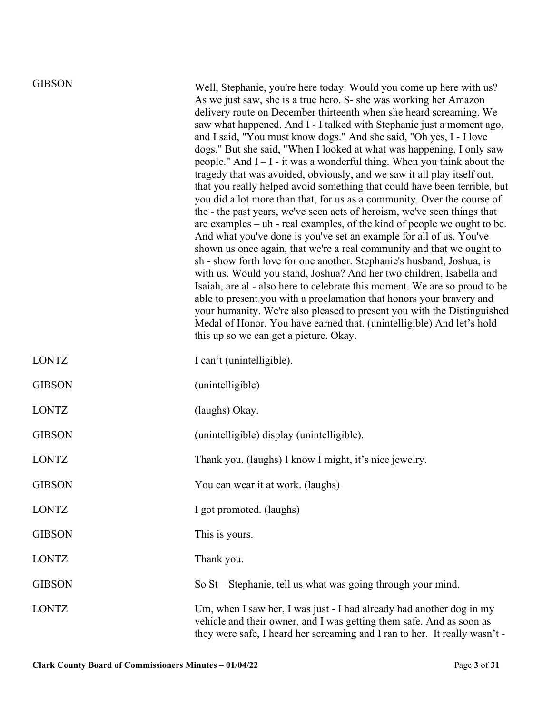| <b>GIBSON</b> | Well, Stephanie, you're here today. Would you come up here with us?<br>As we just saw, she is a true hero. S- she was working her Amazon<br>delivery route on December thirteenth when she heard screaming. We<br>saw what happened. And I - I talked with Stephanie just a moment ago,<br>and I said, "You must know dogs." And she said, "Oh yes, I - I love<br>dogs." But she said, "When I looked at what was happening, I only saw<br>people." And $I - I$ - it was a wonderful thing. When you think about the<br>tragedy that was avoided, obviously, and we saw it all play itself out,<br>that you really helped avoid something that could have been terrible, but<br>you did a lot more than that, for us as a community. Over the course of<br>the - the past years, we've seen acts of heroism, we've seen things that<br>are examples - uh - real examples, of the kind of people we ought to be.<br>And what you've done is you've set an example for all of us. You've<br>shown us once again, that we're a real community and that we ought to<br>sh - show forth love for one another. Stephanie's husband, Joshua, is<br>with us. Would you stand, Joshua? And her two children, Isabella and<br>Isaiah, are al - also here to celebrate this moment. We are so proud to be<br>able to present you with a proclamation that honors your bravery and<br>your humanity. We're also pleased to present you with the Distinguished<br>Medal of Honor. You have earned that. (unintelligible) And let's hold<br>this up so we can get a picture. Okay. |
|---------------|----------------------------------------------------------------------------------------------------------------------------------------------------------------------------------------------------------------------------------------------------------------------------------------------------------------------------------------------------------------------------------------------------------------------------------------------------------------------------------------------------------------------------------------------------------------------------------------------------------------------------------------------------------------------------------------------------------------------------------------------------------------------------------------------------------------------------------------------------------------------------------------------------------------------------------------------------------------------------------------------------------------------------------------------------------------------------------------------------------------------------------------------------------------------------------------------------------------------------------------------------------------------------------------------------------------------------------------------------------------------------------------------------------------------------------------------------------------------------------------------------------------------------------------------------------------------|
| <b>LONTZ</b>  | I can't (unintelligible).                                                                                                                                                                                                                                                                                                                                                                                                                                                                                                                                                                                                                                                                                                                                                                                                                                                                                                                                                                                                                                                                                                                                                                                                                                                                                                                                                                                                                                                                                                                                            |
| <b>GIBSON</b> | (unintelligible)                                                                                                                                                                                                                                                                                                                                                                                                                                                                                                                                                                                                                                                                                                                                                                                                                                                                                                                                                                                                                                                                                                                                                                                                                                                                                                                                                                                                                                                                                                                                                     |
| <b>LONTZ</b>  | (laughs) Okay.                                                                                                                                                                                                                                                                                                                                                                                                                                                                                                                                                                                                                                                                                                                                                                                                                                                                                                                                                                                                                                                                                                                                                                                                                                                                                                                                                                                                                                                                                                                                                       |
| <b>GIBSON</b> | (unintelligible) display (unintelligible).                                                                                                                                                                                                                                                                                                                                                                                                                                                                                                                                                                                                                                                                                                                                                                                                                                                                                                                                                                                                                                                                                                                                                                                                                                                                                                                                                                                                                                                                                                                           |
| <b>LONTZ</b>  | Thank you. (laughs) I know I might, it's nice jewelry.                                                                                                                                                                                                                                                                                                                                                                                                                                                                                                                                                                                                                                                                                                                                                                                                                                                                                                                                                                                                                                                                                                                                                                                                                                                                                                                                                                                                                                                                                                               |
| <b>GIBSON</b> | You can wear it at work. (laughs)                                                                                                                                                                                                                                                                                                                                                                                                                                                                                                                                                                                                                                                                                                                                                                                                                                                                                                                                                                                                                                                                                                                                                                                                                                                                                                                                                                                                                                                                                                                                    |
| <b>LONTZ</b>  | I got promoted. (laughs)                                                                                                                                                                                                                                                                                                                                                                                                                                                                                                                                                                                                                                                                                                                                                                                                                                                                                                                                                                                                                                                                                                                                                                                                                                                                                                                                                                                                                                                                                                                                             |
| <b>GIBSON</b> | This is yours.                                                                                                                                                                                                                                                                                                                                                                                                                                                                                                                                                                                                                                                                                                                                                                                                                                                                                                                                                                                                                                                                                                                                                                                                                                                                                                                                                                                                                                                                                                                                                       |
| <b>LONTZ</b>  | Thank you.                                                                                                                                                                                                                                                                                                                                                                                                                                                                                                                                                                                                                                                                                                                                                                                                                                                                                                                                                                                                                                                                                                                                                                                                                                                                                                                                                                                                                                                                                                                                                           |
| <b>GIBSON</b> | So St – Stephanie, tell us what was going through your mind.                                                                                                                                                                                                                                                                                                                                                                                                                                                                                                                                                                                                                                                                                                                                                                                                                                                                                                                                                                                                                                                                                                                                                                                                                                                                                                                                                                                                                                                                                                         |
| LONTZ         | Um, when I saw her, I was just - I had already had another dog in my<br>vehicle and their owner, and I was getting them safe. And as soon as<br>they were safe, I heard her screaming and I ran to her. It really wasn't -                                                                                                                                                                                                                                                                                                                                                                                                                                                                                                                                                                                                                                                                                                                                                                                                                                                                                                                                                                                                                                                                                                                                                                                                                                                                                                                                           |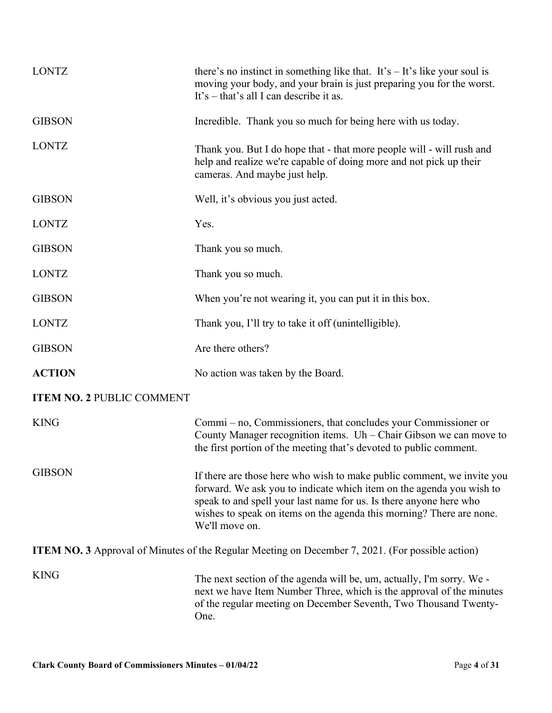| <b>LONTZ</b>                     | there's no instinct in something like that. It's $-$ It's like your soul is<br>moving your body, and your brain is just preparing you for the worst.<br>It's $-$ that's all I can describe it as.                                                                                                              |
|----------------------------------|----------------------------------------------------------------------------------------------------------------------------------------------------------------------------------------------------------------------------------------------------------------------------------------------------------------|
| <b>GIBSON</b>                    | Incredible. Thank you so much for being here with us today.                                                                                                                                                                                                                                                    |
| <b>LONTZ</b>                     | Thank you. But I do hope that - that more people will - will rush and<br>help and realize we're capable of doing more and not pick up their<br>cameras. And maybe just help.                                                                                                                                   |
| <b>GIBSON</b>                    | Well, it's obvious you just acted.                                                                                                                                                                                                                                                                             |
| <b>LONTZ</b>                     | Yes.                                                                                                                                                                                                                                                                                                           |
| <b>GIBSON</b>                    | Thank you so much.                                                                                                                                                                                                                                                                                             |
| <b>LONTZ</b>                     | Thank you so much.                                                                                                                                                                                                                                                                                             |
| <b>GIBSON</b>                    | When you're not wearing it, you can put it in this box.                                                                                                                                                                                                                                                        |
| <b>LONTZ</b>                     | Thank you, I'll try to take it off (unintelligible).                                                                                                                                                                                                                                                           |
| <b>GIBSON</b>                    | Are there others?                                                                                                                                                                                                                                                                                              |
| <b>ACTION</b>                    | No action was taken by the Board.                                                                                                                                                                                                                                                                              |
| <b>ITEM NO. 2 PUBLIC COMMENT</b> |                                                                                                                                                                                                                                                                                                                |
| <b>KING</b>                      | Commi – no, Commissioners, that concludes your Commissioner or<br>County Manager recognition items. $Uh - Chair$ Gibson we can move to<br>the first portion of the meeting that's devoted to public comment.                                                                                                   |
| <b>GIBSON</b>                    | If there are those here who wish to make public comment, we invite you<br>forward. We ask you to indicate which item on the agenda you wish to<br>speak to and spell your last name for us. Is there anyone here who<br>wishes to speak on items on the agenda this morning? There are none.<br>We'll move on. |
|                                  | <b>ITEM NO. 3</b> Approval of Minutes of the Regular Meeting on December 7, 2021. (For possible action)                                                                                                                                                                                                        |
| <b>KING</b>                      | The next section of the agenda will be, um, actually, I'm sorry. We -<br>next we have Item Number Three, which is the approval of the minutes<br>of the regular meeting on December Seventh, Two Thousand Twenty-<br>One.                                                                                      |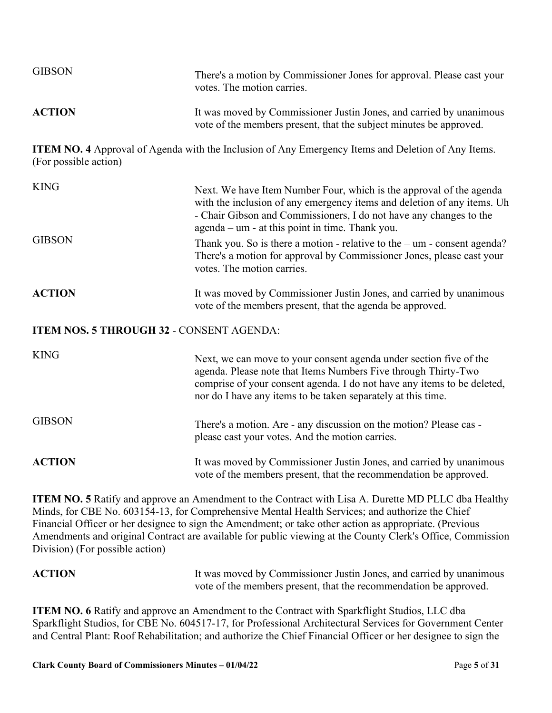| <b>GIBSON</b>                            | There's a motion by Commissioner Jones for approval. Please cast your<br>votes. The motion carries.                                                                                                                                                                             |  |
|------------------------------------------|---------------------------------------------------------------------------------------------------------------------------------------------------------------------------------------------------------------------------------------------------------------------------------|--|
| <b>ACTION</b>                            | It was moved by Commissioner Justin Jones, and carried by unanimous<br>vote of the members present, that the subject minutes be approved.                                                                                                                                       |  |
| (For possible action)                    | <b>ITEM NO. 4</b> Approval of Agenda with the Inclusion of Any Emergency Items and Deletion of Any Items.                                                                                                                                                                       |  |
| <b>KING</b>                              | Next. We have Item Number Four, which is the approval of the agenda<br>with the inclusion of any emergency items and deletion of any items. Uh<br>- Chair Gibson and Commissioners, I do not have any changes to the<br>$a$ genda – um - at this point in time. Thank you.      |  |
| <b>GIBSON</b>                            | Thank you. So is there a motion - relative to the $-$ um - consent agenda?<br>There's a motion for approval by Commissioner Jones, please cast your<br>votes. The motion carries.                                                                                               |  |
| <b>ACTION</b>                            | It was moved by Commissioner Justin Jones, and carried by unanimous<br>vote of the members present, that the agenda be approved.                                                                                                                                                |  |
| ITEM NOS. 5 THROUGH 32 - CONSENT AGENDA: |                                                                                                                                                                                                                                                                                 |  |
| <b>KING</b>                              | Next, we can move to your consent agenda under section five of the<br>agenda. Please note that Items Numbers Five through Thirty-Two<br>comprise of your consent agenda. I do not have any items to be deleted,<br>nor do I have any items to be taken separately at this time. |  |
| <b>GIBSON</b>                            | There's a motion. Are - any discussion on the motion? Please cas -<br>please cast your votes. And the motion carries.                                                                                                                                                           |  |
| <b>ACTION</b>                            | It was moved by Commissioner Justin Jones, and carried by unanimous<br>vote of the members present, that the recommendation be approved.                                                                                                                                        |  |
|                                          | <b>ITEM NO. 5</b> Ratify and approve an Amendment to the Contract with Lisa A. Durette MD PLLC dba Healthy<br>Minds for CRE No. 603154-13 for Comprehensive Mental Health Services: and authorize the Chief                                                                     |  |

E No. 603154-13, for Comprehensive Mental Health Services; and authorize the Chief Financial Officer or her designee to sign the Amendment; or take other action as appropriate. (Previous Amendments and original Contract are available for public viewing at the County Clerk's Office, Commission Division) (For possible action)

| <b>ACTION</b> | It was moved by Commissioner Justin Jones, and carried by unanimous |
|---------------|---------------------------------------------------------------------|
|               | vote of the members present, that the recommendation be approved.   |

**ITEM NO. 6** Ratify and approve an Amendment to the Contract with Sparkflight Studios, LLC dba Sparkflight Studios, for CBE No. 604517-17, for Professional Architectural Services for Government Center and Central Plant: Roof Rehabilitation; and authorize the Chief Financial Officer or her designee to sign the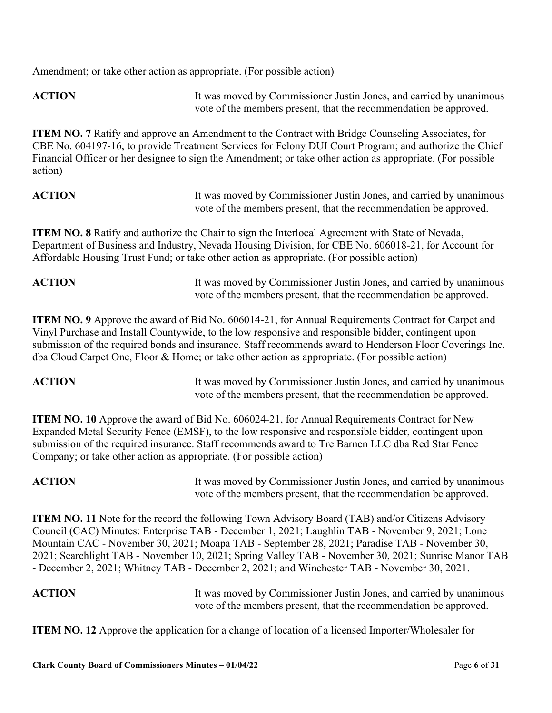Amendment; or take other action as appropriate. (For possible action)

**ACTION** It was moved by Commissioner Justin Jones, and carried by unanimous vote of the members present, that the recommendation be approved.

**ITEM NO. 7** Ratify and approve an Amendment to the Contract with Bridge Counseling Associates, for CBE No. 604197-16, to provide Treatment Services for Felony DUI Court Program; and authorize the Chief Financial Officer or her designee to sign the Amendment; or take other action as appropriate. (For possible action)

| <b>ACTION</b> | It was moved by Commissioner Justin Jones, and carried by unanimous |
|---------------|---------------------------------------------------------------------|
|               | vote of the members present, that the recommendation be approved.   |

**ITEM NO. 8** Ratify and authorize the Chair to sign the Interlocal Agreement with State of Nevada, Department of Business and Industry, Nevada Housing Division, for CBE No. 606018-21, for Account for Affordable Housing Trust Fund; or take other action as appropriate. (For possible action)

**ACTION** It was moved by Commissioner Justin Jones, and carried by unanimous vote of the members present, that the recommendation be approved.

**ITEM NO. 9** Approve the award of Bid No. 606014-21, for Annual Requirements Contract for Carpet and Vinyl Purchase and Install Countywide, to the low responsive and responsible bidder, contingent upon submission of the required bonds and insurance. Staff recommends award to Henderson Floor Coverings Inc. dba Cloud Carpet One, Floor & Home; or take other action as appropriate. (For possible action)

**ACTION** It was moved by Commissioner Justin Jones, and carried by unanimous vote of the members present, that the recommendation be approved.

**ITEM NO. 10** Approve the award of Bid No. 606024-21, for Annual Requirements Contract for New Expanded Metal Security Fence (EMSF), to the low responsive and responsible bidder, contingent upon submission of the required insurance. Staff recommends award to Tre Barnen LLC dba Red Star Fence Company; or take other action as appropriate. (For possible action)

**ACTION** It was moved by Commissioner Justin Jones, and carried by unanimous vote of the members present, that the recommendation be approved.

**ITEM NO. 11** Note for the record the following Town Advisory Board (TAB) and/or Citizens Advisory Council (CAC) Minutes: Enterprise TAB - December 1, 2021; Laughlin TAB - November 9, 2021; Lone Mountain CAC - November 30, 2021; Moapa TAB - September 28, 2021; Paradise TAB - November 30, 2021; Searchlight TAB - November 10, 2021; Spring Valley TAB - November 30, 2021; Sunrise Manor TAB - December 2, 2021; Whitney TAB - December 2, 2021; and Winchester TAB - November 30, 2021.

| <b>ACTION</b> | It was moved by Commissioner Justin Jones, and carried by unanimous |
|---------------|---------------------------------------------------------------------|
|               | vote of the members present, that the recommendation be approved.   |

**ITEM NO. 12** Approve the application for a change of location of a licensed Importer/Wholesaler for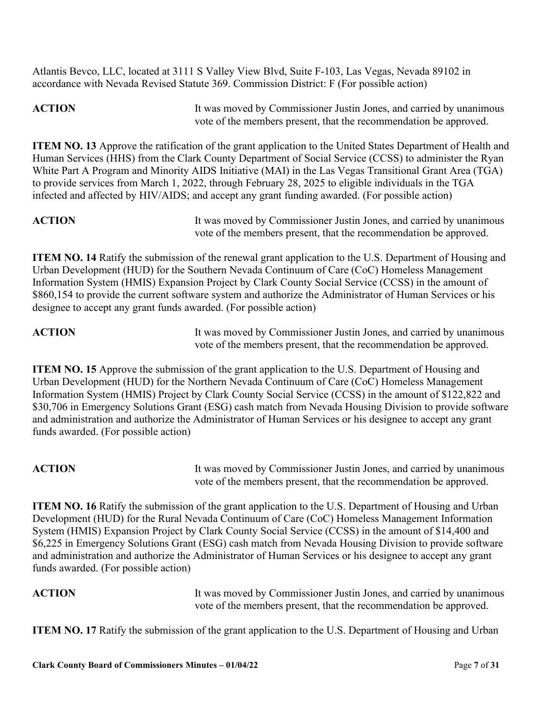Atlantis Bevco, LLC, located at 3111 S Valley View Blvd, Suite F-103, Las Vegas, Nevada 89102 in accordance with Nevada Revised Statute 369. Commission District: F (For possible action)

| <b>ACTION</b> | It was moved by Commissioner Justin Jones, and carried by unanimous |
|---------------|---------------------------------------------------------------------|
|               | vote of the members present, that the recommendation be approved.   |

**ITEM NO. 13** Approve the ratification of the grant application to the United States Department of Health and Human Services (HHS) from the Clark County Department of Social Service (CCSS) to administer the Ryan White Part A Program and Minority AIDS Initiative (MAI) in the Las Vegas Transitional Grant Area (TGA) to provide services from March 1, 2022, through February 28, 2025 to eligible individuals in the TGA infected and affected by HIV/AIDS; and accept any grant funding awarded. (For possible action)

**ACTION** It was moved by Commissioner Justin Jones, and carried by unanimous vote of the members present, that the recommendation be approved.

**ITEM NO. 14** Ratify the submission of the renewal grant application to the U.S. Department of Housing and Urban Development (HUD) for the Southern Nevada Continuum of Care (CoC) Homeless Management Information System (HMIS) Expansion Project by Clark County Social Service (CCSS) in the amount of \$860,154 to provide the current software system and authorize the Administrator of Human Services or his designee to accept any grant funds awarded. (For possible action)

**ACTION** It was moved by Commissioner Justin Jones, and carried by unanimous vote of the members present, that the recommendation be approved.

**ITEM NO. 15** Approve the submission of the grant application to the U.S. Department of Housing and Urban Development (HUD) for the Northern Nevada Continuum of Care (CoC) Homeless Management Information System (HMIS) Project by Clark County Social Service (CCSS) in the amount of \$122,822 and \$30,706 in Emergency Solutions Grant (ESG) cash match from Nevada Housing Division to provide software and administration and authorize the Administrator of Human Services or his designee to accept any grant funds awarded. (For possible action)

**ACTION** It was moved by Commissioner Justin Jones, and carried by unanimous vote of the members present, that the recommendation be approved.

**ITEM NO. 16** Ratify the submission of the grant application to the U.S. Department of Housing and Urban Development (HUD) for the Rural Nevada Continuum of Care (CoC) Homeless Management Information System (HMIS) Expansion Project by Clark County Social Service (CCSS) in the amount of \$14,400 and \$6,225 in Emergency Solutions Grant (ESG) cash match from Nevada Housing Division to provide software and administration and authorize the Administrator of Human Services or his designee to accept any grant funds awarded. (For possible action)

**ACTION** It was moved by Commissioner Justin Jones, and carried by unanimous vote of the members present, that the recommendation be approved.

**ITEM NO. 17** Ratify the submission of the grant application to the U.S. Department of Housing and Urban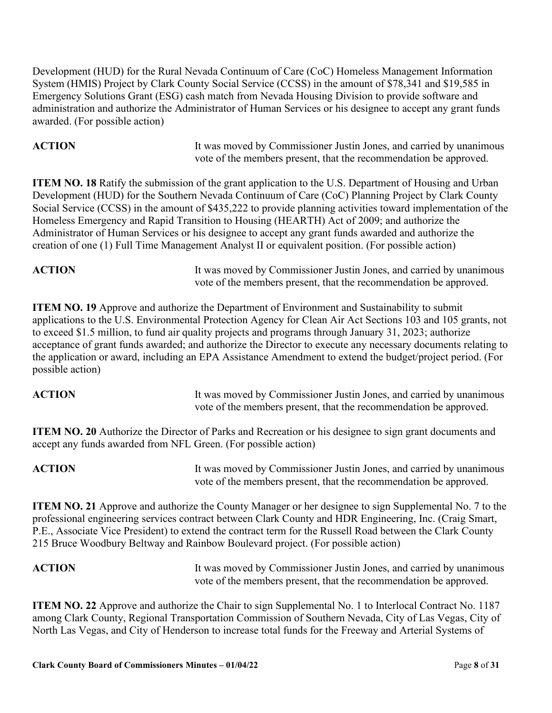Development (HUD) for the Rural Nevada Continuum of Care (CoC) Homeless Management Information System (HMIS) Project by Clark County Social Service (CCSS) in the amount of \$78,341 and \$19,585 in Emergency Solutions Grant (ESG) cash match from Nevada Housing Division to provide software and administration and authorize the Administrator of Human Services or his designee to accept any grant funds awarded. (For possible action)

**ACTION** It was moved by Commissioner Justin Jones, and carried by unanimous vote of the members present, that the recommendation be approved.

**ITEM NO. 18** Ratify the submission of the grant application to the U.S. Department of Housing and Urban Development (HUD) for the Southern Nevada Continuum of Care (CoC) Planning Project by Clark County Social Service (CCSS) in the amount of \$435,222 to provide planning activities toward implementation of the Homeless Emergency and Rapid Transition to Housing (HEARTH) Act of 2009; and authorize the Administrator of Human Services or his designee to accept any grant funds awarded and authorize the creation of one (1) Full Time Management Analyst II or equivalent position. (For possible action)

**ACTION** It was moved by Commissioner Justin Jones, and carried by unanimous vote of the members present, that the recommendation be approved.

**ITEM NO. 19** Approve and authorize the Department of Environment and Sustainability to submit applications to the U.S. Environmental Protection Agency for Clean Air Act Sections 103 and 105 grants, not to exceed \$1.5 million, to fund air quality projects and programs through January 31, 2023; authorize acceptance of grant funds awarded; and authorize the Director to execute any necessary documents relating to the application or award, including an EPA Assistance Amendment to extend the budget/project period. (For possible action)

**ACTION** It was moved by Commissioner Justin Jones, and carried by unanimous vote of the members present, that the recommendation be approved.

**ITEM NO. 20** Authorize the Director of Parks and Recreation or his designee to sign grant documents and accept any funds awarded from NFL Green. (For possible action)

**ACTION** It was moved by Commissioner Justin Jones, and carried by unanimous vote of the members present, that the recommendation be approved.

**ITEM NO. 21** Approve and authorize the County Manager or her designee to sign Supplemental No. 7 to the professional engineering services contract between Clark County and HDR Engineering, Inc. (Craig Smart, P.E., Associate Vice President) to extend the contract term for the Russell Road between the Clark County 215 Bruce Woodbury Beltway and Rainbow Boulevard project. (For possible action)

**ACTION** It was moved by Commissioner Justin Jones, and carried by unanimous vote of the members present, that the recommendation be approved.

**ITEM NO. 22** Approve and authorize the Chair to sign Supplemental No. 1 to Interlocal Contract No. 1187 among Clark County, Regional Transportation Commission of Southern Nevada, City of Las Vegas, City of North Las Vegas, and City of Henderson to increase total funds for the Freeway and Arterial Systems of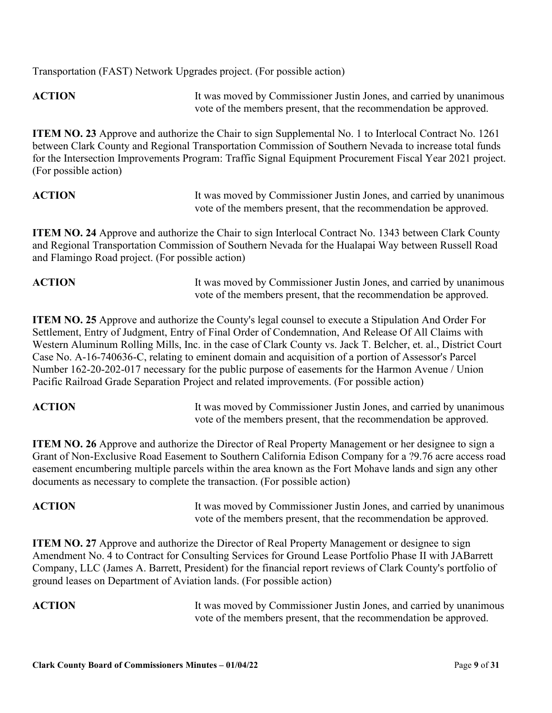Transportation (FAST) Network Upgrades project. (For possible action)

**ACTION** It was moved by Commissioner Justin Jones, and carried by unanimous vote of the members present, that the recommendation be approved.

**ITEM NO. 23** Approve and authorize the Chair to sign Supplemental No. 1 to Interlocal Contract No. 1261 between Clark County and Regional Transportation Commission of Southern Nevada to increase total funds for the Intersection Improvements Program: Traffic Signal Equipment Procurement Fiscal Year 2021 project. (For possible action)

**ACTION** It was moved by Commissioner Justin Jones, and carried by unanimous vote of the members present, that the recommendation be approved.

**ITEM NO. 24** Approve and authorize the Chair to sign Interlocal Contract No. 1343 between Clark County and Regional Transportation Commission of Southern Nevada for the Hualapai Way between Russell Road and Flamingo Road project. (For possible action)

### **ACTION** It was moved by Commissioner Justin Jones, and carried by unanimous vote of the members present, that the recommendation be approved.

**ITEM NO. 25** Approve and authorize the County's legal counsel to execute a Stipulation And Order For Settlement, Entry of Judgment, Entry of Final Order of Condemnation, And Release Of All Claims with Western Aluminum Rolling Mills, Inc. in the case of Clark County vs. Jack T. Belcher, et. al., District Court Case No. A-16-740636-C, relating to eminent domain and acquisition of a portion of Assessor's Parcel Number 162-20-202-017 necessary for the public purpose of easements for the Harmon Avenue / Union Pacific Railroad Grade Separation Project and related improvements. (For possible action)

**ACTION** It was moved by Commissioner Justin Jones, and carried by unanimous vote of the members present, that the recommendation be approved.

**ITEM NO. 26** Approve and authorize the Director of Real Property Management or her designee to sign a Grant of Non-Exclusive Road Easement to Southern California Edison Company for a ?9.76 acre access road easement encumbering multiple parcels within the area known as the Fort Mohave lands and sign any other documents as necessary to complete the transaction. (For possible action)

**ACTION** It was moved by Commissioner Justin Jones, and carried by unanimous vote of the members present, that the recommendation be approved.

**ITEM NO. 27** Approve and authorize the Director of Real Property Management or designee to sign Amendment No. 4 to Contract for Consulting Services for Ground Lease Portfolio Phase II with JABarrett Company, LLC (James A. Barrett, President) for the financial report reviews of Clark County's portfolio of ground leases on Department of Aviation lands. (For possible action)

**ACTION** It was moved by Commissioner Justin Jones, and carried by unanimous vote of the members present, that the recommendation be approved.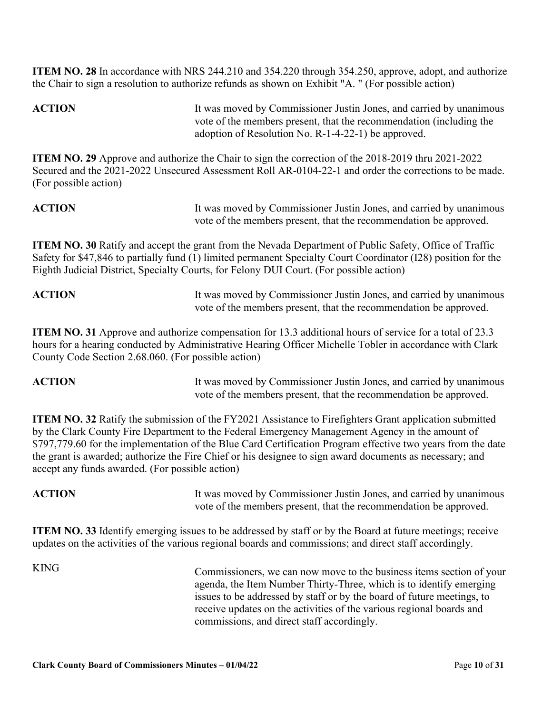**ITEM NO. 28** In accordance with NRS 244.210 and 354.220 through 354.250, approve, adopt, and authorize the Chair to sign a resolution to authorize refunds as shown on Exhibit "A. " (For possible action)

## **ACTION** It was moved by Commissioner Justin Jones, and carried by unanimous vote of the members present, that the recommendation (including the adoption of Resolution No. R-1-4-22-1) be approved.

**ITEM NO. 29** Approve and authorize the Chair to sign the correction of the 2018-2019 thru 2021-2022 Secured and the 2021-2022 Unsecured Assessment Roll AR-0104-22-1 and order the corrections to be made. (For possible action)

**ACTION** It was moved by Commissioner Justin Jones, and carried by unanimous vote of the members present, that the recommendation be approved.

**ITEM NO. 30** Ratify and accept the grant from the Nevada Department of Public Safety, Office of Traffic Safety for \$47,846 to partially fund (1) limited permanent Specialty Court Coordinator (I28) position for the Eighth Judicial District, Specialty Courts, for Felony DUI Court. (For possible action)

**ACTION** It was moved by Commissioner Justin Jones, and carried by unanimous vote of the members present, that the recommendation be approved.

**ITEM NO. 31** Approve and authorize compensation for 13.3 additional hours of service for a total of 23.3 hours for a hearing conducted by Administrative Hearing Officer Michelle Tobler in accordance with Clark County Code Section 2.68.060. (For possible action)

**ACTION** It was moved by Commissioner Justin Jones, and carried by unanimous vote of the members present, that the recommendation be approved.

**ITEM NO. 32** Ratify the submission of the FY2021 Assistance to Firefighters Grant application submitted by the Clark County Fire Department to the Federal Emergency Management Agency in the amount of \$797,779.60 for the implementation of the Blue Card Certification Program effective two years from the date the grant is awarded; authorize the Fire Chief or his designee to sign award documents as necessary; and accept any funds awarded. (For possible action)

ACTION It was moved by Commissioner Justin Jones, and carried by unanimous vote of the members present, that the recommendation be approved.

**ITEM NO. 33** Identify emerging issues to be addressed by staff or by the Board at future meetings; receive updates on the activities of the various regional boards and commissions; and direct staff accordingly.

KING Commissioners, we can now move to the business items section of your agenda, the Item Number Thirty-Three, which is to identify emerging issues to be addressed by staff or by the board of future meetings, to receive updates on the activities of the various regional boards and commissions, and direct staff accordingly.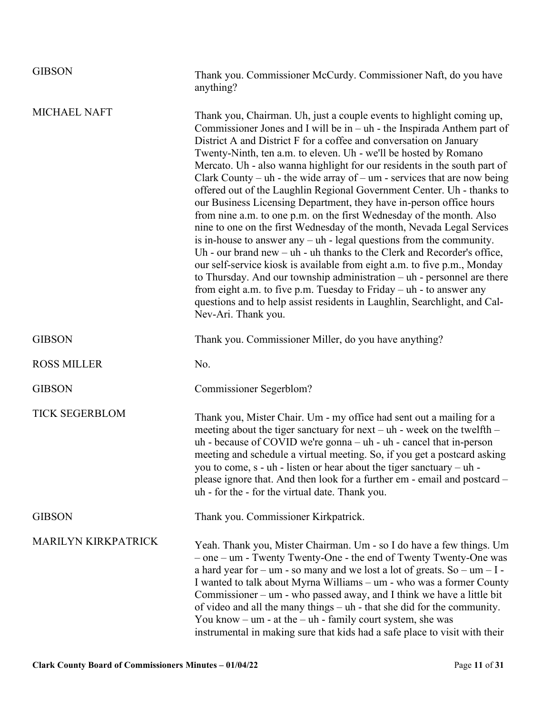| <b>GIBSON</b>              | Thank you. Commissioner McCurdy. Commissioner Naft, do you have<br>anything?                                                                                                                                                                                                                                                                                                                                                                                                                                                                                                                                                                                                                                                                                                                                                                                                                                                                                                                                                                                                                                                                                                                                                                                |
|----------------------------|-------------------------------------------------------------------------------------------------------------------------------------------------------------------------------------------------------------------------------------------------------------------------------------------------------------------------------------------------------------------------------------------------------------------------------------------------------------------------------------------------------------------------------------------------------------------------------------------------------------------------------------------------------------------------------------------------------------------------------------------------------------------------------------------------------------------------------------------------------------------------------------------------------------------------------------------------------------------------------------------------------------------------------------------------------------------------------------------------------------------------------------------------------------------------------------------------------------------------------------------------------------|
| <b>MICHAEL NAFT</b>        | Thank you, Chairman. Uh, just a couple events to highlight coming up,<br>Commissioner Jones and I will be in $-$ uh - the Inspirada Anthem part of<br>District A and District F for a coffee and conversation on January<br>Twenty-Ninth, ten a.m. to eleven. Uh - we'll be hosted by Romano<br>Mercato. Uh - also wanna highlight for our residents in the south part of<br>Clark County – uh - the wide array of – um - services that are now being<br>offered out of the Laughlin Regional Government Center. Uh - thanks to<br>our Business Licensing Department, they have in-person office hours<br>from nine a.m. to one p.m. on the first Wednesday of the month. Also<br>nine to one on the first Wednesday of the month, Nevada Legal Services<br>is in-house to answer any $-\text{uh}$ - legal questions from the community.<br>Uh - our brand new $-$ uh - uh thanks to the Clerk and Recorder's office,<br>our self-service kiosk is available from eight a.m. to five p.m., Monday<br>to Thursday. And our township administration $-$ uh - personnel are there<br>from eight a.m. to five p.m. Tuesday to Friday $-$ uh - to answer any<br>questions and to help assist residents in Laughlin, Searchlight, and Cal-<br>Nev-Ari. Thank you. |
| <b>GIBSON</b>              | Thank you. Commissioner Miller, do you have anything?                                                                                                                                                                                                                                                                                                                                                                                                                                                                                                                                                                                                                                                                                                                                                                                                                                                                                                                                                                                                                                                                                                                                                                                                       |
| <b>ROSS MILLER</b>         | No.                                                                                                                                                                                                                                                                                                                                                                                                                                                                                                                                                                                                                                                                                                                                                                                                                                                                                                                                                                                                                                                                                                                                                                                                                                                         |
| <b>GIBSON</b>              | <b>Commissioner Segerblom?</b>                                                                                                                                                                                                                                                                                                                                                                                                                                                                                                                                                                                                                                                                                                                                                                                                                                                                                                                                                                                                                                                                                                                                                                                                                              |
| <b>TICK SEGERBLOM</b>      | Thank you, Mister Chair. Um - my office had sent out a mailing for a<br>meeting about the tiger sanctuary for next – uh - week on the twelfth –<br>uh - because of COVID we're gonna $-$ uh - uh - cancel that in-person<br>meeting and schedule a virtual meeting. So, if you get a postcard asking<br>you to come, $s - uh - listen$ or hear about the tiger sanctuary $- uh -$<br>please ignore that. And then look for a further em - email and postcard -<br>uh - for the - for the virtual date. Thank you.                                                                                                                                                                                                                                                                                                                                                                                                                                                                                                                                                                                                                                                                                                                                           |
| <b>GIBSON</b>              | Thank you. Commissioner Kirkpatrick.                                                                                                                                                                                                                                                                                                                                                                                                                                                                                                                                                                                                                                                                                                                                                                                                                                                                                                                                                                                                                                                                                                                                                                                                                        |
| <b>MARILYN KIRKPATRICK</b> | Yeah. Thank you, Mister Chairman. Um - so I do have a few things. Um<br>- one - um - Twenty Twenty-One - the end of Twenty Twenty-One was<br>a hard year for – um - so many and we lost a lot of greats. $So - um - I$ -<br>I wanted to talk about Myrna Williams – um - who was a former County<br>Commissioner – um - who passed away, and I think we have a little bit<br>of video and all the many things – uh - that she did for the community.<br>You know $-$ um - at the $-$ uh - family court system, she was<br>instrumental in making sure that kids had a safe place to visit with their                                                                                                                                                                                                                                                                                                                                                                                                                                                                                                                                                                                                                                                        |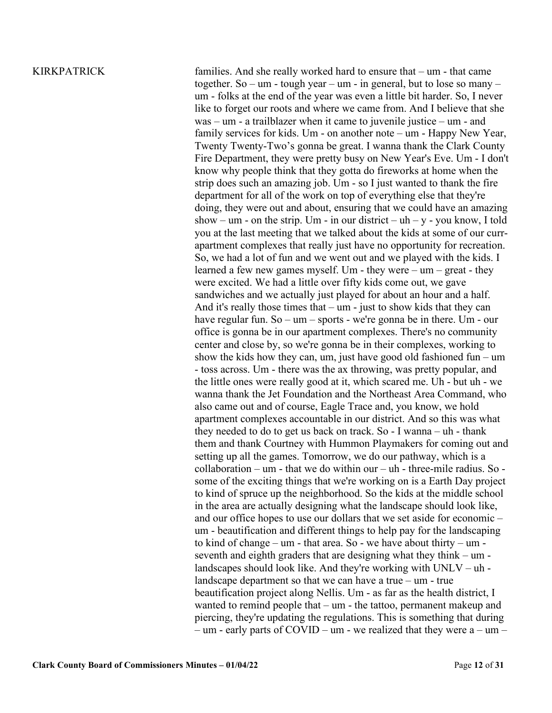KIRKPATRICK families. And she really worked hard to ensure that – um - that came together. So – um - tough year – um - in general, but to lose so many – um - folks at the end of the year was even a little bit harder. So, I never like to forget our roots and where we came from. And I believe that she was – um - a trailblazer when it came to juvenile justice – um - and family services for kids. Um - on another note – um - Happy New Year, Twenty Twenty-Two's gonna be great. I wanna thank the Clark County Fire Department, they were pretty busy on New Year's Eve. Um - I don't know why people think that they gotta do fireworks at home when the strip does such an amazing job. Um - so I just wanted to thank the fire department for all of the work on top of everything else that they're doing, they were out and about, ensuring that we could have an amazing show – um - on the strip. Um - in our district – uh – y - you know, I told you at the last meeting that we talked about the kids at some of our currapartment complexes that really just have no opportunity for recreation. So, we had a lot of fun and we went out and we played with the kids. I learned a few new games myself. Um - they were – um – great - they were excited. We had a little over fifty kids come out, we gave sandwiches and we actually just played for about an hour and a half. And it's really those times that – um - just to show kids that they can have regular fun. So – um – sports - we're gonna be in there. Um - our office is gonna be in our apartment complexes. There's no community center and close by, so we're gonna be in their complexes, working to show the kids how they can, um, just have good old fashioned fun – um - toss across. Um - there was the ax throwing, was pretty popular, and the little ones were really good at it, which scared me. Uh - but uh - we wanna thank the Jet Foundation and the Northeast Area Command, who also came out and of course, Eagle Trace and, you know, we hold apartment complexes accountable in our district. And so this was what they needed to do to get us back on track. So - I wanna – uh - thank them and thank Courtney with Hummon Playmakers for coming out and setting up all the games. Tomorrow, we do our pathway, which is a collaboration – um - that we do within our – uh - three-mile radius. So some of the exciting things that we're working on is a Earth Day project to kind of spruce up the neighborhood. So the kids at the middle school in the area are actually designing what the landscape should look like, and our office hopes to use our dollars that we set aside for economic – um - beautification and different things to help pay for the landscaping to kind of change – um - that area. So - we have about thirty – um seventh and eighth graders that are designing what they think – um landscapes should look like. And they're working with UNLV – uh landscape department so that we can have a true – um - true beautification project along Nellis. Um - as far as the health district, I wanted to remind people that – um - the tattoo, permanent makeup and piercing, they're updating the regulations. This is something that during – um - early parts of COVID – um - we realized that they were  $a - \text{um}$  –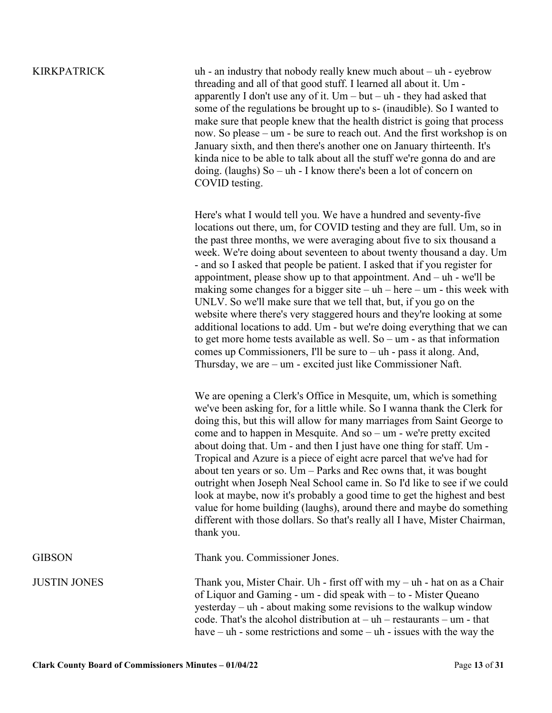KIRKPATRICK uh - an industry that nobody really knew much about – uh - eyebrow threading and all of that good stuff. I learned all about it. Um apparently I don't use any of it.  $Um - but - uh - they$  had asked that some of the regulations be brought up to s- (inaudible). So I wanted to make sure that people knew that the health district is going that process now. So please – um - be sure to reach out. And the first workshop is on January sixth, and then there's another one on January thirteenth. It's kinda nice to be able to talk about all the stuff we're gonna do and are doing. (laughs) So – uh - I know there's been a lot of concern on COVID testing.

> Here's what I would tell you. We have a hundred and seventy-five locations out there, um, for COVID testing and they are full. Um, so in the past three months, we were averaging about five to six thousand a week. We're doing about seventeen to about twenty thousand a day. Um - and so I asked that people be patient. I asked that if you register for appointment, please show up to that appointment. And – uh - we'll be making some changes for a bigger site –  $uh$  – here –  $um$  - this week with UNLV. So we'll make sure that we tell that, but, if you go on the website where there's very staggered hours and they're looking at some additional locations to add. Um - but we're doing everything that we can to get more home tests available as well. So –  $um$  - as that information comes up Commissioners, I'll be sure to  $-$  uh - pass it along. And, Thursday, we are – um - excited just like Commissioner Naft.

> We are opening a Clerk's Office in Mesquite, um, which is something we've been asking for, for a little while. So I wanna thank the Clerk for doing this, but this will allow for many marriages from Saint George to come and to happen in Mesquite. And so – um - we're pretty excited about doing that. Um - and then I just have one thing for staff. Um - Tropical and Azure is a piece of eight acre parcel that we've had for about ten years or so. Um – Parks and Rec owns that, it was bought outright when Joseph Neal School came in. So I'd like to see if we could look at maybe, now it's probably a good time to get the highest and best value for home building (laughs), around there and maybe do something different with those dollars. So that's really all I have, Mister Chairman, thank you.

GIBSON Thank you. Commissioner Jones.

JUSTIN JONES Thank you, Mister Chair. Uh - first off with my - uh - hat on as a Chair of Liquor and Gaming - um - did speak with – to - Mister Queano yesterday – uh - about making some revisions to the walkup window code. That's the alcohol distribution  $at - uh - restaurants - um - that$ have – uh - some restrictions and some – uh - issues with the way the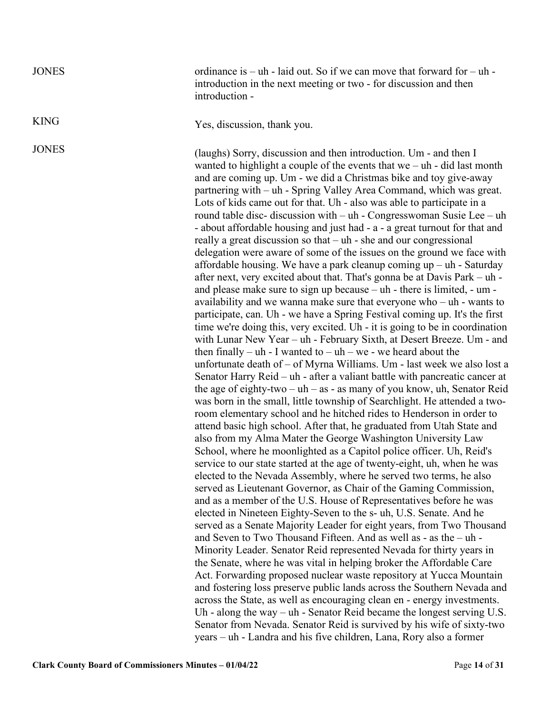JONES ordinance is – uh - laid out. So if we can move that forward for – uh introduction in the next meeting or two - for discussion and then introduction -

KING Yes, discussion, thank you.

JONES (laughs) Sorry, discussion and then introduction. Um - and then I wanted to highlight a couple of the events that  $we - uh - did$  last month and are coming up. Um - we did a Christmas bike and toy give-away partnering with – uh - Spring Valley Area Command, which was great. Lots of kids came out for that. Uh - also was able to participate in a round table disc- discussion with – uh - Congresswoman Susie Lee – uh - about affordable housing and just had - a - a great turnout for that and really a great discussion so that – uh - she and our congressional delegation were aware of some of the issues on the ground we face with affordable housing. We have a park cleanup coming up – uh - Saturday after next, very excited about that. That's gonna be at Davis Park – uh and please make sure to sign up because – uh - there is limited, - um availability and we wanna make sure that everyone who – uh - wants to participate, can. Uh - we have a Spring Festival coming up. It's the first time we're doing this, very excited. Uh - it is going to be in coordination with Lunar New Year – uh - February Sixth, at Desert Breeze. Um - and then finally – uh - I wanted to – uh – we - we heard about the unfortunate death of – of Myrna Williams. Um - last week we also lost a Senator Harry Reid – uh - after a valiant battle with pancreatic cancer at the age of eighty-two – uh – as - as many of you know, uh, Senator Reid was born in the small, little township of Searchlight. He attended a tworoom elementary school and he hitched rides to Henderson in order to attend basic high school. After that, he graduated from Utah State and also from my Alma Mater the George Washington University Law School, where he moonlighted as a Capitol police officer. Uh, Reid's service to our state started at the age of twenty-eight, uh, when he was elected to the Nevada Assembly, where he served two terms, he also served as Lieutenant Governor, as Chair of the Gaming Commission, and as a member of the U.S. House of Representatives before he was elected in Nineteen Eighty-Seven to the s- uh, U.S. Senate. And he served as a Senate Majority Leader for eight years, from Two Thousand and Seven to Two Thousand Fifteen. And as well as - as the – uh - Minority Leader. Senator Reid represented Nevada for thirty years in the Senate, where he was vital in helping broker the Affordable Care Act. Forwarding proposed nuclear waste repository at Yucca Mountain and fostering loss preserve public lands across the Southern Nevada and across the State, as well as encouraging clean en - energy investments. Uh - along the way – uh - Senator Reid became the longest serving U.S. Senator from Nevada. Senator Reid is survived by his wife of sixty-two years – uh - Landra and his five children, Lana, Rory also a former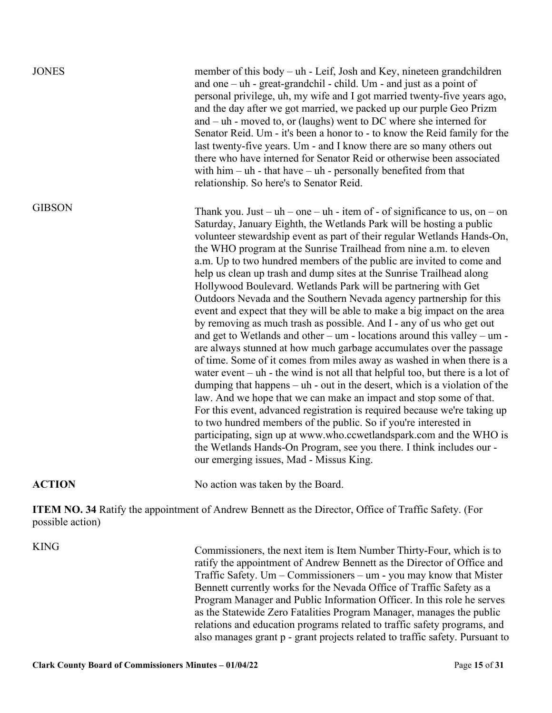| <b>ACTION</b><br>possible action) | No action was taken by the Board.<br><b>ITEM NO. 34 Ratify the appointment of Andrew Bennett as the Director, Office of Traffic Safety. (For</b>                                                                                                                                                                                                                                                                                                                                                                                                                                                                                                                                                                                                                                                                                                                                                         |
|-----------------------------------|----------------------------------------------------------------------------------------------------------------------------------------------------------------------------------------------------------------------------------------------------------------------------------------------------------------------------------------------------------------------------------------------------------------------------------------------------------------------------------------------------------------------------------------------------------------------------------------------------------------------------------------------------------------------------------------------------------------------------------------------------------------------------------------------------------------------------------------------------------------------------------------------------------|
|                                   | by removing as much trash as possible. And I - any of us who get out<br>and get to Wetlands and other – $um$ - locations around this valley – $um$ -<br>are always stunned at how much garbage accumulates over the passage<br>of time. Some of it comes from miles away as washed in when there is a<br>water event $-\mathbf{u}$ - the wind is not all that helpful too, but there is a lot of<br>dumping that happens $-\mathbf{u}$ - out in the desert, which is a violation of the<br>law. And we hope that we can make an impact and stop some of that.<br>For this event, advanced registration is required because we're taking up<br>to two hundred members of the public. So if you're interested in<br>participating, sign up at www.who.ccwetlandspark.com and the WHO is<br>the Wetlands Hands-On Program, see you there. I think includes our -<br>our emerging issues, Mad - Missus King. |
| <b>GIBSON</b>                     | Thank you. Just – $uh$ – one – $uh$ - item of - of significance to us, on – on<br>Saturday, January Eighth, the Wetlands Park will be hosting a public<br>volunteer stewardship event as part of their regular Wetlands Hands-On,<br>the WHO program at the Sunrise Trailhead from nine a.m. to eleven<br>a.m. Up to two hundred members of the public are invited to come and<br>help us clean up trash and dump sites at the Sunrise Trailhead along<br>Hollywood Boulevard. Wetlands Park will be partnering with Get<br>Outdoors Nevada and the Southern Nevada agency partnership for this<br>event and expect that they will be able to make a big impact on the area                                                                                                                                                                                                                              |
| <b>JONES</b>                      | member of this body – uh - Leif, Josh and Key, nineteen grandchildren<br>and one $-$ uh - great-grandchil - child. Um - and just as a point of<br>personal privilege, uh, my wife and I got married twenty-five years ago,<br>and the day after we got married, we packed up our purple Geo Prizm<br>and $-$ uh - moved to, or (laughs) went to DC where she interned for<br>Senator Reid. Um - it's been a honor to - to know the Reid family for the<br>last twenty-five years. Um - and I know there are so many others out<br>there who have interned for Senator Reid or otherwise been associated<br>with $him - uh - that have - uh - personally benefited from that$<br>relationship. So here's to Senator Reid.                                                                                                                                                                                 |

KING Commissioners, the next item is Item Number Thirty-Four, which is to ratify the appointment of Andrew Bennett as the Director of Office and Traffic Safety. Um – Commissioners – um - you may know that Mister Bennett currently works for the Nevada Office of Traffic Safety as a Program Manager and Public Information Officer. In this role he serves as the Statewide Zero Fatalities Program Manager, manages the public relations and education programs related to traffic safety programs, and also manages grant p - grant projects related to traffic safety. Pursuant to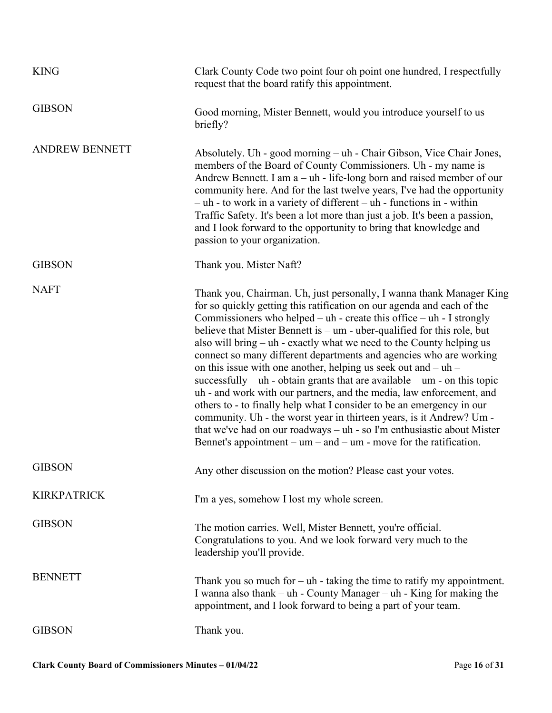| <b>KING</b>           | Clark County Code two point four oh point one hundred, I respectfully<br>request that the board ratify this appointment.                                                                                                                                                                                                                                                                                                                                                                                                                                                                                                                                                                                                                                                                                                                                                                                                                                                                     |
|-----------------------|----------------------------------------------------------------------------------------------------------------------------------------------------------------------------------------------------------------------------------------------------------------------------------------------------------------------------------------------------------------------------------------------------------------------------------------------------------------------------------------------------------------------------------------------------------------------------------------------------------------------------------------------------------------------------------------------------------------------------------------------------------------------------------------------------------------------------------------------------------------------------------------------------------------------------------------------------------------------------------------------|
| <b>GIBSON</b>         | Good morning, Mister Bennett, would you introduce yourself to us<br>briefly?                                                                                                                                                                                                                                                                                                                                                                                                                                                                                                                                                                                                                                                                                                                                                                                                                                                                                                                 |
| <b>ANDREW BENNETT</b> | Absolutely. Uh - good morning – uh - Chair Gibson, Vice Chair Jones,<br>members of the Board of County Commissioners. Uh - my name is<br>Andrew Bennett. I am $a - uh$ - life-long born and raised member of our<br>community here. And for the last twelve years, I've had the opportunity<br>$-$ uh - to work in a variety of different $-$ uh - functions in - within<br>Traffic Safety. It's been a lot more than just a job. It's been a passion,<br>and I look forward to the opportunity to bring that knowledge and<br>passion to your organization.                                                                                                                                                                                                                                                                                                                                                                                                                                 |
| <b>GIBSON</b>         | Thank you. Mister Naft?                                                                                                                                                                                                                                                                                                                                                                                                                                                                                                                                                                                                                                                                                                                                                                                                                                                                                                                                                                      |
| <b>NAFT</b>           | Thank you, Chairman. Uh, just personally, I wanna thank Manager King<br>for so quickly getting this ratification on our agenda and each of the<br>Commissioners who helped – $uh$ - create this office – $uh$ - I strongly<br>believe that Mister Bennett is $-$ um - uber-qualified for this role, but<br>also will bring $-$ uh - exactly what we need to the County helping us<br>connect so many different departments and agencies who are working<br>on this issue with one another, helping us seek out and $-\text{uh}$ -<br>successfully – uh - obtain grants that are available – um - on this topic –<br>uh - and work with our partners, and the media, law enforcement, and<br>others to - to finally help what I consider to be an emergency in our<br>community. Uh - the worst year in thirteen years, is it Andrew? Um -<br>that we've had on our roadways – uh - so I'm enthusiastic about Mister<br>Bennet's appointment – $um$ – and – $um$ - move for the ratification. |
| <b>GIBSON</b>         | Any other discussion on the motion? Please cast your votes.                                                                                                                                                                                                                                                                                                                                                                                                                                                                                                                                                                                                                                                                                                                                                                                                                                                                                                                                  |
| <b>KIRKPATRICK</b>    | I'm a yes, somehow I lost my whole screen.                                                                                                                                                                                                                                                                                                                                                                                                                                                                                                                                                                                                                                                                                                                                                                                                                                                                                                                                                   |
| <b>GIBSON</b>         | The motion carries. Well, Mister Bennett, you're official.<br>Congratulations to you. And we look forward very much to the<br>leadership you'll provide.                                                                                                                                                                                                                                                                                                                                                                                                                                                                                                                                                                                                                                                                                                                                                                                                                                     |
| <b>BENNETT</b>        | Thank you so much for $-\nu$ - taking the time to ratify my appointment.<br>I wanna also thank $-$ uh - County Manager $-$ uh - King for making the<br>appointment, and I look forward to being a part of your team.                                                                                                                                                                                                                                                                                                                                                                                                                                                                                                                                                                                                                                                                                                                                                                         |
| <b>GIBSON</b>         | Thank you.                                                                                                                                                                                                                                                                                                                                                                                                                                                                                                                                                                                                                                                                                                                                                                                                                                                                                                                                                                                   |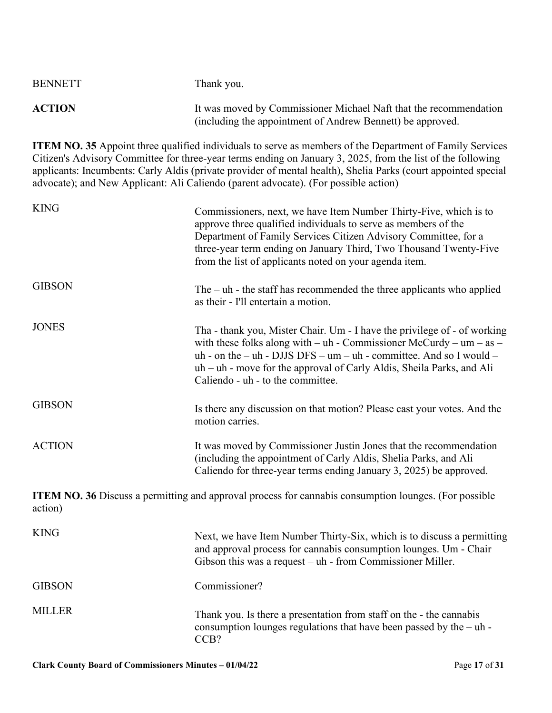| <b>BENNETT</b> | Thank you.                                                        |
|----------------|-------------------------------------------------------------------|
| <b>ACTION</b>  | It was moved by Commissioner Michael Naft that the recommendation |
|                | (including the appointment of Andrew Bennett) be approved.        |

**ITEM NO. 35** Appoint three qualified individuals to serve as members of the Department of Family Services Citizen's Advisory Committee for three-year terms ending on January 3, 2025, from the list of the following applicants: Incumbents: Carly Aldis (private provider of mental health), Shelia Parks (court appointed special advocate); and New Applicant: Ali Caliendo (parent advocate). (For possible action)

| <b>KING</b>                                                                                                             | Commissioners, next, we have Item Number Thirty-Five, which is to<br>approve three qualified individuals to serve as members of the<br>Department of Family Services Citizen Advisory Committee, for a<br>three-year term ending on January Third, Two Thousand Twenty-Five<br>from the list of applicants noted on your agenda item.                   |  |
|-------------------------------------------------------------------------------------------------------------------------|---------------------------------------------------------------------------------------------------------------------------------------------------------------------------------------------------------------------------------------------------------------------------------------------------------------------------------------------------------|--|
| <b>GIBSON</b>                                                                                                           | The $-$ uh $-$ the staff has recommended the three applicants who applied<br>as their - I'll entertain a motion.                                                                                                                                                                                                                                        |  |
| <b>JONES</b>                                                                                                            | Tha - thank you, Mister Chair. Um - I have the privilege of - of working<br>with these folks along with – $uh - \text{Commissioner}$ McCurdy – $um - as$ –<br>$uh$ - on the – $uh$ - DJJS DFS – $um$ – $uh$ - committee. And so I would –<br>uh - uh - move for the approval of Carly Aldis, Sheila Parks, and Ali<br>Caliendo - uh - to the committee. |  |
| <b>GIBSON</b>                                                                                                           | Is there any discussion on that motion? Please cast your votes. And the<br>motion carries.                                                                                                                                                                                                                                                              |  |
| <b>ACTION</b>                                                                                                           | It was moved by Commissioner Justin Jones that the recommendation<br>(including the appointment of Carly Aldis, Shelia Parks, and Ali<br>Caliendo for three-year terms ending January 3, 2025) be approved.                                                                                                                                             |  |
| <b>ITEM NO. 36</b> Discuss a permitting and approval process for cannabis consumption lounges. (For possible<br>action) |                                                                                                                                                                                                                                                                                                                                                         |  |
| <b>KING</b>                                                                                                             | Next, we have Item Number Thirty-Six, which is to discuss a permitting<br>and approval process for cannabis consumption lounges. Um - Chair<br>Gibson this was a request $-\uh$ - from Commissioner Miller.                                                                                                                                             |  |
| <b>GIBSON</b>                                                                                                           | Commissioner?                                                                                                                                                                                                                                                                                                                                           |  |
| <b>MILLER</b>                                                                                                           | Thank you. Is there a presentation from staff on the - the cannabis<br>consumption lounges regulations that have been passed by the $-$ uh -<br>CCB?                                                                                                                                                                                                    |  |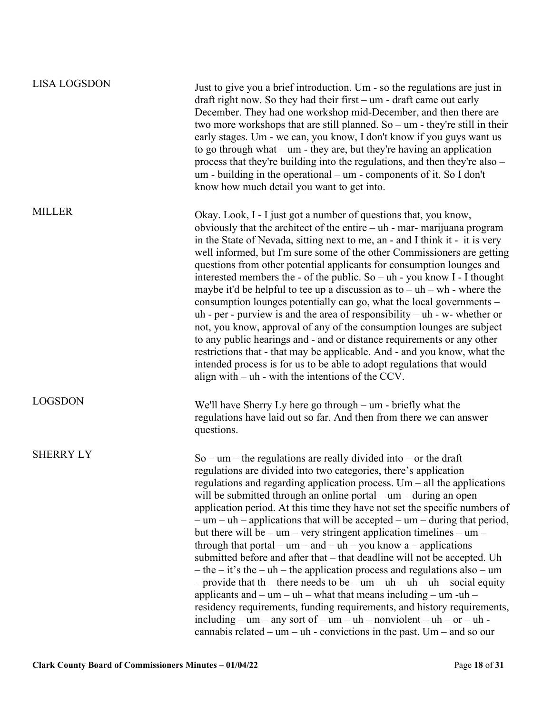| <b>LISA LOGSDON</b> | Just to give you a brief introduction. Um - so the regulations are just in<br>draft right now. So they had their first $-$ um - draft came out early<br>December. They had one workshop mid-December, and then there are<br>two more workshops that are still planned. So – $um$ - they're still in their<br>early stages. Um - we can, you know, I don't know if you guys want us<br>to go through what $-$ um $-$ they are, but they're having an application<br>process that they're building into the regulations, and then they're also –<br>$um$ - building in the operational – $um$ - components of it. So I don't<br>know how much detail you want to get into.                                                                                                                                                                                                                                                                                                                                                                                                                                                                                                                 |
|---------------------|------------------------------------------------------------------------------------------------------------------------------------------------------------------------------------------------------------------------------------------------------------------------------------------------------------------------------------------------------------------------------------------------------------------------------------------------------------------------------------------------------------------------------------------------------------------------------------------------------------------------------------------------------------------------------------------------------------------------------------------------------------------------------------------------------------------------------------------------------------------------------------------------------------------------------------------------------------------------------------------------------------------------------------------------------------------------------------------------------------------------------------------------------------------------------------------|
| <b>MILLER</b>       | Okay. Look, I - I just got a number of questions that, you know,<br>obviously that the architect of the entire $-\mathbf{u}$ - mar-marijuana program<br>in the State of Nevada, sitting next to me, an - and I think it - it is very<br>well informed, but I'm sure some of the other Commissioners are getting<br>questions from other potential applicants for consumption lounges and<br>interested members the - of the public. So – uh - you know $I$ - I thought<br>maybe it'd be helpful to tee up a discussion as to $-\text{uh} - \text{wh}$ - where the<br>consumption lounges potentially can go, what the local governments –<br>uh - per - purview is and the area of responsibility $-$ uh - w- whether or<br>not, you know, approval of any of the consumption lounges are subject<br>to any public hearings and - and or distance requirements or any other<br>restrictions that - that may be applicable. And - and you know, what the<br>intended process is for us to be able to adopt regulations that would<br>align with $-$ uh - with the intentions of the CCV.                                                                                                  |
| <b>LOGSDON</b>      | We'll have Sherry Ly here go through $-$ um - briefly what the<br>regulations have laid out so far. And then from there we can answer<br>questions.                                                                                                                                                                                                                                                                                                                                                                                                                                                                                                                                                                                                                                                                                                                                                                                                                                                                                                                                                                                                                                      |
| <b>SHERRY LY</b>    | $So - um - the regulations are really divided into - or the draft$<br>regulations are divided into two categories, there's application<br>regulations and regarding application process. Um $-$ all the applications<br>will be submitted through an online portal $-$ um $-$ during an open<br>application period. At this time they have not set the specific numbers of<br>$-$ um $-$ uh $-$ applications that will be accepted $-$ um $-$ during that period,<br>but there will be $-$ um $-$ very stringent application timelines $-$ um $-$<br>through that portal – $um$ – and – $uh$ – you know a – applications<br>submitted before and after that – that deadline will not be accepted. Uh<br>$-$ the $-$ it's the $-$ uh $-$ the application process and regulations also $-$ um<br>- provide that th – there needs to be – $um - uh - uh - wh$ – social equity<br>applicants and $-$ um $-$ uh $-$ what that means including $-$ um $-$ uh $-$<br>residency requirements, funding requirements, and history requirements,<br>including – um – any sort of – um – uh – nonviolent – uh – or – uh -<br>cannabis related – $um - uh$ - convictions in the past. Um – and so our |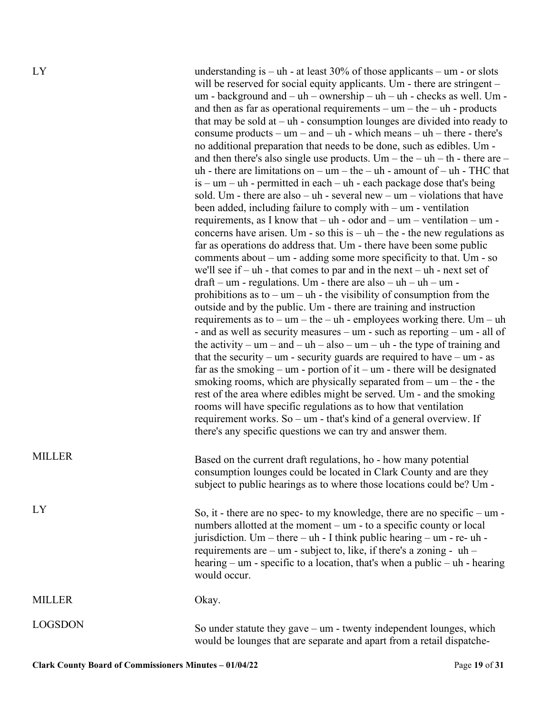| LY            | understanding is $-$ uh - at least 30% of those applicants $-$ um - or slots<br>will be reserved for social equity applicants. Um - there are stringent $-$<br>um - background and $-$ uh $-$ ownership $-$ uh $-$ uh - checks as well. Um -<br>and then as far as operational requirements $-$ um $-$ the $-$ uh - products<br>that may be sold at $-$ uh - consumption lounges are divided into ready to<br>consume products – $um$ – and – $uh$ - which means – $uh$ – there - there's<br>no additional preparation that needs to be done, such as edibles. Um -<br>and then there's also single use products. Um – the – uh – th - there are –<br>uh - there are limitations on $-$ um $-$ the $-$ uh - amount of $-$ uh - THC that<br>$is - um - uh$ - permitted in each $- uh$ - each package dose that's being<br>sold. Um - there are also $-\text{uh}$ - several new $-\text{um}$ - violations that have<br>been added, including failure to comply with $-$ um - ventilation<br>requirements, as I know that $-\text{uh}$ - odor and $-\text{um}$ - ventilation $-\text{um}$ - |
|---------------|------------------------------------------------------------------------------------------------------------------------------------------------------------------------------------------------------------------------------------------------------------------------------------------------------------------------------------------------------------------------------------------------------------------------------------------------------------------------------------------------------------------------------------------------------------------------------------------------------------------------------------------------------------------------------------------------------------------------------------------------------------------------------------------------------------------------------------------------------------------------------------------------------------------------------------------------------------------------------------------------------------------------------------------------------------------------------------------|
|               | concerns have arisen. Um - so this is $-$ uh $-$ the - the new regulations as<br>far as operations do address that. Um - there have been some public<br>comments about $-\text{um}$ - adding some more specificity to that. Um - so<br>we'll see if – uh - that comes to par and in the next – uh - next set of<br>$dr$ aft – um - regulations. Um - there are also – uh – uh – um -<br>prohibitions as to $-\mathsf{um} - \mathsf{uh}$ - the visibility of consumption from the<br>outside and by the public. Um - there are training and instruction                                                                                                                                                                                                                                                                                                                                                                                                                                                                                                                                   |
|               | requirements as to – $um - the - uh - employees working there. Um - uh$<br>- and as well as security measures – $um$ - such as reporting – $um$ - all of<br>the activity – $um$ – and – $uh$ – also – $um$ – $uh$ - the type of training and<br>that the security – um - security guards are required to have – um - as<br>far as the smoking – um - portion of it – um - there will be designated<br>smoking rooms, which are physically separated from $-\mathsf{um}-\mathsf{the}\cdot\mathsf{the}$<br>rest of the area where edibles might be served. Um - and the smoking<br>rooms will have specific regulations as to how that ventilation<br>requirement works. So – $um$ - that's kind of a general overview. If<br>there's any specific questions we can try and answer them.                                                                                                                                                                                                                                                                                                   |
| MILLER        | Based on the current draft regulations, ho - how many potential<br>consumption lounges could be located in Clark County and are they<br>subject to public hearings as to where those locations could be? Um -                                                                                                                                                                                                                                                                                                                                                                                                                                                                                                                                                                                                                                                                                                                                                                                                                                                                            |
| LY            | So, it - there are no spec- to my knowledge, there are no specific $-\text{um}$ -<br>numbers allotted at the moment – um - to a specific county or local<br>jurisdiction. Um – there – uh - I think public hearing – um - re- uh -<br>requirements are $-$ um - subject to, like, if there's a zoning - uh $-$<br>hearing – um - specific to a location, that's when a public – uh - hearing<br>would occur.                                                                                                                                                                                                                                                                                                                                                                                                                                                                                                                                                                                                                                                                             |
| <b>MILLER</b> | Okay.                                                                                                                                                                                                                                                                                                                                                                                                                                                                                                                                                                                                                                                                                                                                                                                                                                                                                                                                                                                                                                                                                    |
| LOGSDON       | So under statute they gave $-$ um - twenty independent lounges, which<br>would be lounges that are separate and apart from a retail dispatche-                                                                                                                                                                                                                                                                                                                                                                                                                                                                                                                                                                                                                                                                                                                                                                                                                                                                                                                                           |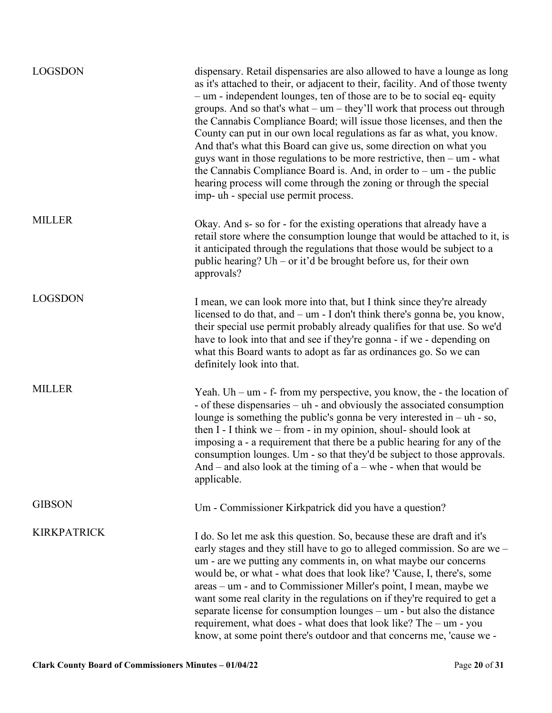| <b>LOGSDON</b>     | dispensary. Retail dispensaries are also allowed to have a lounge as long<br>as it's attached to their, or adjacent to their, facility. And of those twenty<br>- um - independent lounges, ten of those are to be to social eq- equity<br>groups. And so that's what $-$ um $-$ they'll work that process out through<br>the Cannabis Compliance Board; will issue those licenses, and then the<br>County can put in our own local regulations as far as what, you know.<br>And that's what this Board can give us, some direction on what you<br>guys want in those regulations to be more restrictive, then $-$ um - what<br>the Cannabis Compliance Board is. And, in order to $-$ um - the public<br>hearing process will come through the zoning or through the special<br>imp- uh - special use permit process. |
|--------------------|-----------------------------------------------------------------------------------------------------------------------------------------------------------------------------------------------------------------------------------------------------------------------------------------------------------------------------------------------------------------------------------------------------------------------------------------------------------------------------------------------------------------------------------------------------------------------------------------------------------------------------------------------------------------------------------------------------------------------------------------------------------------------------------------------------------------------|
| <b>MILLER</b>      | Okay. And s- so for - for the existing operations that already have a<br>retail store where the consumption lounge that would be attached to it, is<br>it anticipated through the regulations that those would be subject to a<br>public hearing? Uh – or it'd be brought before us, for their own<br>approvals?                                                                                                                                                                                                                                                                                                                                                                                                                                                                                                      |
| <b>LOGSDON</b>     | I mean, we can look more into that, but I think since they're already<br>licensed to do that, and - um - I don't think there's gonna be, you know,<br>their special use permit probably already qualifies for that use. So we'd<br>have to look into that and see if they're gonna - if we - depending on<br>what this Board wants to adopt as far as ordinances go. So we can<br>definitely look into that.                                                                                                                                                                                                                                                                                                                                                                                                          |
| <b>MILLER</b>      | Yeah. Uh – $um - f$ - from my perspective, you know, the - the location of<br>- of these dispensaries – uh - and obviously the associated consumption<br>lounge is something the public's gonna be very interested in $-$ uh - so,<br>then $I - I$ think we – from - in my opinion, shoul-should look at<br>imposing a - a requirement that there be a public hearing for any of the<br>consumption lounges. Um - so that they'd be subject to those approvals.<br>And – and also look at the timing of $a$ – whe - when that would be<br>applicable.                                                                                                                                                                                                                                                                 |
| <b>GIBSON</b>      | Um - Commissioner Kirkpatrick did you have a question?                                                                                                                                                                                                                                                                                                                                                                                                                                                                                                                                                                                                                                                                                                                                                                |
| <b>KIRKPATRICK</b> | I do. So let me ask this question. So, because these are draft and it's<br>early stages and they still have to go to alleged commission. So are we –<br>um - are we putting any comments in, on what maybe our concerns<br>would be, or what - what does that look like? 'Cause, I, there's, some<br>areas – um - and to Commissioner Miller's point, I mean, maybe we<br>want some real clarity in the regulations on if they're required to get a<br>separate license for consumption lounges – um - but also the distance<br>requirement, what does - what does that look like? The - um - you<br>know, at some point there's outdoor and that concerns me, 'cause we -                                                                                                                                            |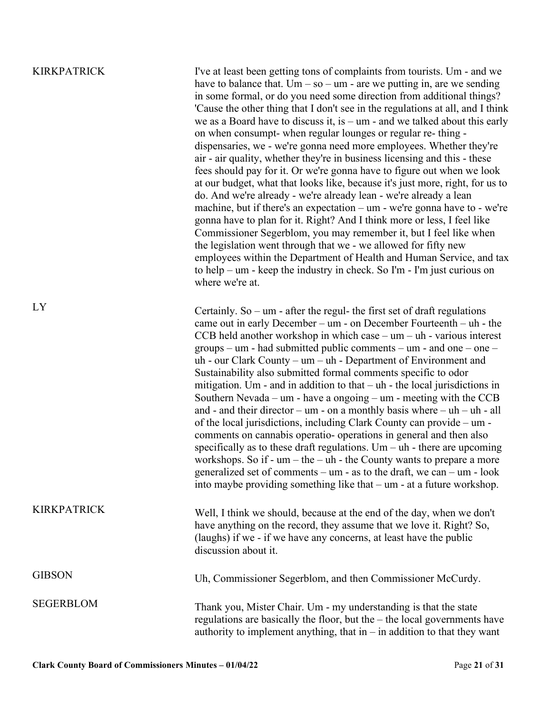| <b>KIRKPATRICK</b> | I've at least been getting tons of complaints from tourists. Um - and we<br>have to balance that. Um $-$ so $-$ um - are we putting in, are we sending<br>in some formal, or do you need some direction from additional things?<br>'Cause the other thing that I don't see in the regulations at all, and I think<br>we as a Board have to discuss it, is $-$ um - and we talked about this early<br>on when consumpt- when regular lounges or regular re- thing -<br>dispensaries, we - we're gonna need more employees. Whether they're<br>air - air quality, whether they're in business licensing and this - these<br>fees should pay for it. Or we're gonna have to figure out when we look<br>at our budget, what that looks like, because it's just more, right, for us to<br>do. And we're already - we're already lean - we're already a lean<br>machine, but if there's an expectation $-\mathbf{u}$ - we're gonna have to - we're<br>gonna have to plan for it. Right? And I think more or less, I feel like<br>Commissioner Segerblom, you may remember it, but I feel like when<br>the legislation went through that we - we allowed for fifty new<br>employees within the Department of Health and Human Service, and tax<br>to help – $um$ - keep the industry in check. So I'm - I'm just curious on<br>where we're at. |
|--------------------|-----------------------------------------------------------------------------------------------------------------------------------------------------------------------------------------------------------------------------------------------------------------------------------------------------------------------------------------------------------------------------------------------------------------------------------------------------------------------------------------------------------------------------------------------------------------------------------------------------------------------------------------------------------------------------------------------------------------------------------------------------------------------------------------------------------------------------------------------------------------------------------------------------------------------------------------------------------------------------------------------------------------------------------------------------------------------------------------------------------------------------------------------------------------------------------------------------------------------------------------------------------------------------------------------------------------------------------------|
| LY                 | Certainly. So $-$ um - after the regul- the first set of draft regulations<br>came out in early December – um - on December Fourteenth – uh - the<br>CCB held another workshop in which case $-$ um $-$ uh - various interest<br>groups – um - had submitted public comments – um - and one – one –<br>$uh$ - our Clark County – $um - uh$ - Department of Environment and<br>Sustainability also submitted formal comments specific to odor<br>mitigation. Um - and in addition to that $-$ uh - the local jurisdictions in<br>Southern Nevada – um - have a ongoing – um - meeting with the CCB<br>and - and their director – $um$ - on a monthly basis where – $uh - uh$ - all<br>of the local jurisdictions, including Clark County can provide – um -<br>comments on cannabis operatio- operations in general and then also<br>specifically as to these draft regulations. Um $-$ uh - there are upcoming<br>workshops. So if - $um - the - uh - the County wants to prepare a more$<br>generalized set of comments $-$ um - as to the draft, we can $-$ um - look<br>into maybe providing something like that $-\mathbf{u}$ - at a future workshop.                                                                                                                                                                               |
| <b>KIRKPATRICK</b> | Well, I think we should, because at the end of the day, when we don't<br>have anything on the record, they assume that we love it. Right? So,<br>(laughs) if we - if we have any concerns, at least have the public<br>discussion about it.                                                                                                                                                                                                                                                                                                                                                                                                                                                                                                                                                                                                                                                                                                                                                                                                                                                                                                                                                                                                                                                                                             |
| <b>GIBSON</b>      | Uh, Commissioner Segerblom, and then Commissioner McCurdy.                                                                                                                                                                                                                                                                                                                                                                                                                                                                                                                                                                                                                                                                                                                                                                                                                                                                                                                                                                                                                                                                                                                                                                                                                                                                              |
| <b>SEGERBLOM</b>   | Thank you, Mister Chair. Um - my understanding is that the state<br>regulations are basically the floor, but the – the local governments have<br>authority to implement anything, that in $-$ in addition to that they want                                                                                                                                                                                                                                                                                                                                                                                                                                                                                                                                                                                                                                                                                                                                                                                                                                                                                                                                                                                                                                                                                                             |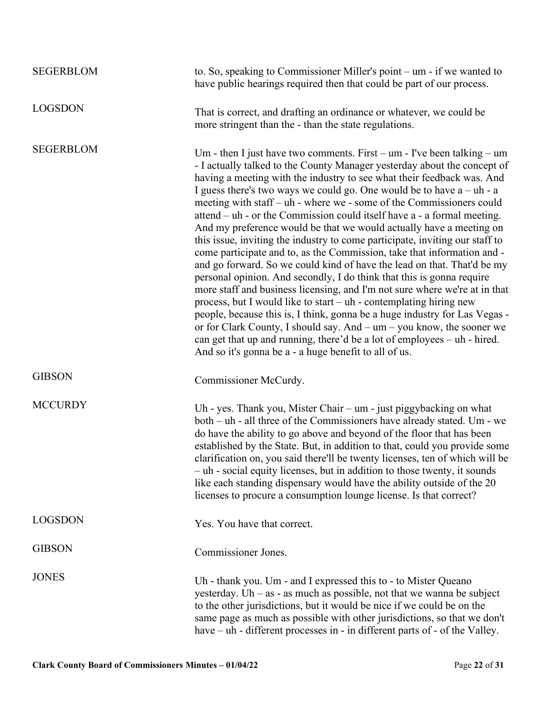| <b>SEGERBLOM</b> | to. So, speaking to Commissioner Miller's point $-$ um $-$ if we wanted to<br>have public hearings required then that could be part of our process.                                                                                                                                                                                                                                                                                                                                                                                                                                                                                                                                                                                                                                                                                                                                                                                                                                                                                                                                                                                                                                                                                                                                                             |
|------------------|-----------------------------------------------------------------------------------------------------------------------------------------------------------------------------------------------------------------------------------------------------------------------------------------------------------------------------------------------------------------------------------------------------------------------------------------------------------------------------------------------------------------------------------------------------------------------------------------------------------------------------------------------------------------------------------------------------------------------------------------------------------------------------------------------------------------------------------------------------------------------------------------------------------------------------------------------------------------------------------------------------------------------------------------------------------------------------------------------------------------------------------------------------------------------------------------------------------------------------------------------------------------------------------------------------------------|
| <b>LOGSDON</b>   | That is correct, and drafting an ordinance or whatever, we could be<br>more stringent than the - than the state regulations.                                                                                                                                                                                                                                                                                                                                                                                                                                                                                                                                                                                                                                                                                                                                                                                                                                                                                                                                                                                                                                                                                                                                                                                    |
| <b>SEGERBLOM</b> | Um - then I just have two comments. First – $um$ - I've been talking – $um$<br>- I actually talked to the County Manager yesterday about the concept of<br>having a meeting with the industry to see what their feedback was. And<br>I guess there's two ways we could go. One would be to have $a - uh - a$<br>meeting with staff - uh - where we - some of the Commissioners could<br>attend $-$ uh - or the Commission could itself have $a$ - a formal meeting.<br>And my preference would be that we would actually have a meeting on<br>this issue, inviting the industry to come participate, inviting our staff to<br>come participate and to, as the Commission, take that information and -<br>and go forward. So we could kind of have the lead on that. That'd be my<br>personal opinion. And secondly, I do think that this is gonna require<br>more staff and business licensing, and I'm not sure where we're at in that<br>process, but I would like to start $-\nu$ - contemplating hiring new<br>people, because this is, I think, gonna be a huge industry for Las Vegas -<br>or for Clark County, I should say. And $-$ um $-$ you know, the sooner we<br>can get that up and running, there'd be a lot of employees – uh - hired.<br>And so it's gonna be a - a huge benefit to all of us. |
| <b>GIBSON</b>    | Commissioner McCurdy.                                                                                                                                                                                                                                                                                                                                                                                                                                                                                                                                                                                                                                                                                                                                                                                                                                                                                                                                                                                                                                                                                                                                                                                                                                                                                           |
| <b>MCCURDY</b>   | Uh - yes. Thank you, Mister Chair – um - just piggybacking on what<br>both – uh - all three of the Commissioners have already stated. Um - we<br>do have the ability to go above and beyond of the floor that has been<br>established by the State. But, in addition to that, could you provide some<br>clarification on, you said there'll be twenty licenses, ten of which will be<br>- uh - social equity licenses, but in addition to those twenty, it sounds<br>like each standing dispensary would have the ability outside of the 20<br>licenses to procure a consumption lounge license. Is that correct?                                                                                                                                                                                                                                                                                                                                                                                                                                                                                                                                                                                                                                                                                               |
| <b>LOGSDON</b>   | Yes. You have that correct.                                                                                                                                                                                                                                                                                                                                                                                                                                                                                                                                                                                                                                                                                                                                                                                                                                                                                                                                                                                                                                                                                                                                                                                                                                                                                     |
| <b>GIBSON</b>    | <b>Commissioner Jones.</b>                                                                                                                                                                                                                                                                                                                                                                                                                                                                                                                                                                                                                                                                                                                                                                                                                                                                                                                                                                                                                                                                                                                                                                                                                                                                                      |
| <b>JONES</b>     | Uh - thank you. Um - and I expressed this to - to Mister Queano<br>yesterday. Uh $-$ as $-$ as much as possible, not that we wanna be subject<br>to the other jurisdictions, but it would be nice if we could be on the<br>same page as much as possible with other jurisdictions, so that we don't<br>have – uh - different processes in - in different parts of - of the Valley.                                                                                                                                                                                                                                                                                                                                                                                                                                                                                                                                                                                                                                                                                                                                                                                                                                                                                                                              |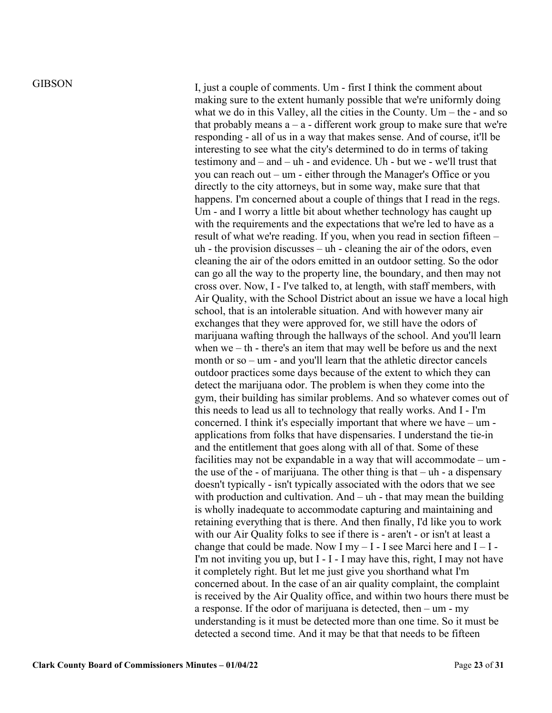GIBSON I, just a couple of comments. Um - first I think the comment about making sure to the extent humanly possible that we're uniformly doing what we do in this Valley, all the cities in the County. Um – the - and so that probably means  $a - a$  - different work group to make sure that we're responding - all of us in a way that makes sense. And of course, it'll be interesting to see what the city's determined to do in terms of taking testimony and – and – uh - and evidence. Uh - but we - we'll trust that you can reach out – um - either through the Manager's Office or you directly to the city attorneys, but in some way, make sure that that happens. I'm concerned about a couple of things that I read in the regs. Um - and I worry a little bit about whether technology has caught up with the requirements and the expectations that we're led to have as a result of what we're reading. If you, when you read in section fifteen – uh - the provision discusses – uh - cleaning the air of the odors, even cleaning the air of the odors emitted in an outdoor setting. So the odor can go all the way to the property line, the boundary, and then may not cross over. Now, I - I've talked to, at length, with staff members, with Air Quality, with the School District about an issue we have a local high school, that is an intolerable situation. And with however many air exchanges that they were approved for, we still have the odors of marijuana wafting through the hallways of the school. And you'll learn when we – th - there's an item that may well be before us and the next month or so – um - and you'll learn that the athletic director cancels outdoor practices some days because of the extent to which they can detect the marijuana odor. The problem is when they come into the gym, their building has similar problems. And so whatever comes out of this needs to lead us all to technology that really works. And I - I'm concerned. I think it's especially important that where we have – um applications from folks that have dispensaries. I understand the tie-in and the entitlement that goes along with all of that. Some of these facilities may not be expandable in a way that will accommodate – um the use of the  $-$  of marijuana. The other thing is that  $-$  uh  $-$  a dispensary doesn't typically - isn't typically associated with the odors that we see with production and cultivation. And  $-$  uh - that may mean the building is wholly inadequate to accommodate capturing and maintaining and retaining everything that is there. And then finally, I'd like you to work with our Air Quality folks to see if there is - aren't - or isn't at least a change that could be made. Now  $I$  my  $-I$  - I see Marci here and  $I - I$  -I'm not inviting you up, but I - I - I may have this, right, I may not have it completely right. But let me just give you shorthand what I'm concerned about. In the case of an air quality complaint, the complaint is received by the Air Quality office, and within two hours there must be a response. If the odor of marijuana is detected, then – um - my understanding is it must be detected more than one time. So it must be detected a second time. And it may be that that needs to be fifteen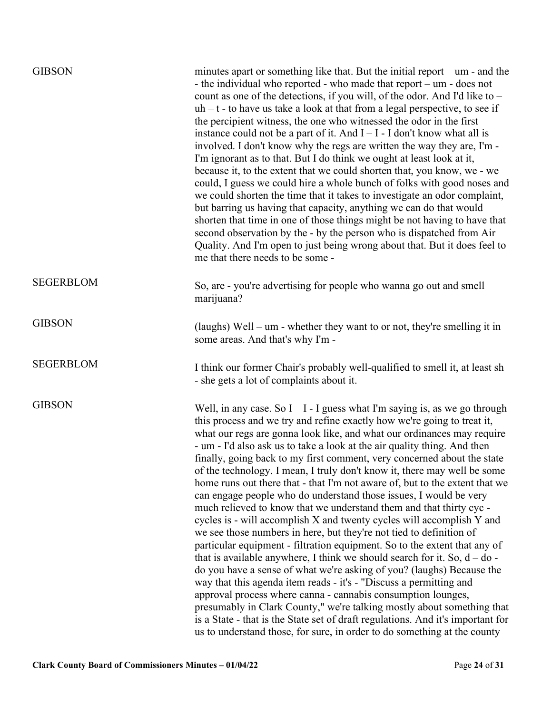| <b>GIBSON</b>    | minutes apart or something like that. But the initial report $-$ um $-$ and the<br>- the individual who reported - who made that report $-$ um - does not<br>count as one of the detections, if you will, of the odor. And I'd like to –<br>$uh - t$ - to have us take a look at that from a legal perspective, to see if<br>the percipient witness, the one who witnessed the odor in the first<br>instance could not be a part of it. And $I - I - I$ don't know what all is<br>involved. I don't know why the regs are written the way they are, I'm -<br>I'm ignorant as to that. But I do think we ought at least look at it,<br>because it, to the extent that we could shorten that, you know, we - we<br>could, I guess we could hire a whole bunch of folks with good noses and<br>we could shorten the time that it takes to investigate an odor complaint,<br>but barring us having that capacity, anything we can do that would<br>shorten that time in one of those things might be not having to have that<br>second observation by the - by the person who is dispatched from Air<br>Quality. And I'm open to just being wrong about that. But it does feel to<br>me that there needs to be some -                                                                                                                                                                                                                                                  |
|------------------|--------------------------------------------------------------------------------------------------------------------------------------------------------------------------------------------------------------------------------------------------------------------------------------------------------------------------------------------------------------------------------------------------------------------------------------------------------------------------------------------------------------------------------------------------------------------------------------------------------------------------------------------------------------------------------------------------------------------------------------------------------------------------------------------------------------------------------------------------------------------------------------------------------------------------------------------------------------------------------------------------------------------------------------------------------------------------------------------------------------------------------------------------------------------------------------------------------------------------------------------------------------------------------------------------------------------------------------------------------------------------------------------------------------------------------------------------------------------|
| <b>SEGERBLOM</b> | So, are - you're advertising for people who wanna go out and smell<br>marijuana?                                                                                                                                                                                                                                                                                                                                                                                                                                                                                                                                                                                                                                                                                                                                                                                                                                                                                                                                                                                                                                                                                                                                                                                                                                                                                                                                                                                   |
| <b>GIBSON</b>    | (laughs) Well – $um$ - whether they want to or not, they're smelling it in<br>some areas. And that's why I'm -                                                                                                                                                                                                                                                                                                                                                                                                                                                                                                                                                                                                                                                                                                                                                                                                                                                                                                                                                                                                                                                                                                                                                                                                                                                                                                                                                     |
| <b>SEGERBLOM</b> | I think our former Chair's probably well-qualified to smell it, at least sh<br>- she gets a lot of complaints about it.                                                                                                                                                                                                                                                                                                                                                                                                                                                                                                                                                                                                                                                                                                                                                                                                                                                                                                                                                                                                                                                                                                                                                                                                                                                                                                                                            |
| <b>GIBSON</b>    | Well, in any case. So $I - I - I$ guess what I'm saying is, as we go through<br>this process and we try and refine exactly how we're going to treat it,<br>what our regs are gonna look like, and what our ordinances may require<br>- um - I'd also ask us to take a look at the air quality thing. And then<br>finally, going back to my first comment, very concerned about the state<br>of the technology. I mean, I truly don't know it, there may well be some<br>home runs out there that - that I'm not aware of, but to the extent that we<br>can engage people who do understand those issues, I would be very<br>much relieved to know that we understand them and that thirty cyc-<br>cycles is - will accomplish X and twenty cycles will accomplish Y and<br>we see those numbers in here, but they're not tied to definition of<br>particular equipment - filtration equipment. So to the extent that any of<br>that is available anywhere, I think we should search for it. So, $d - do -$<br>do you have a sense of what we're asking of you? (laughs) Because the<br>way that this agenda item reads - it's - "Discuss a permitting and<br>approval process where canna - cannabis consumption lounges,<br>presumably in Clark County," we're talking mostly about something that<br>is a State - that is the State set of draft regulations. And it's important for<br>us to understand those, for sure, in order to do something at the county |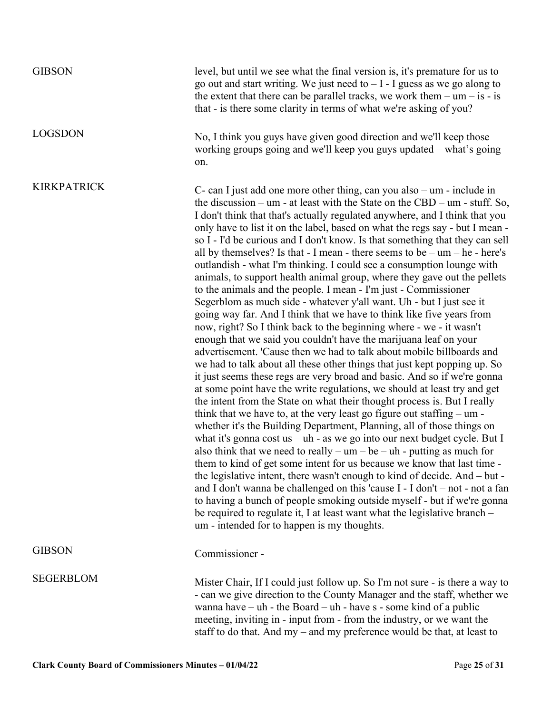| <b>GIBSON</b>      | level, but until we see what the final version is, it's premature for us to<br>go out and start writing. We just need to $-I$ - I guess as we go along to<br>the extent that there can be parallel tracks, we work them $-\mathbf{um} - \mathbf{is} - \mathbf{is}$<br>that - is there some clarity in terms of what we're asking of you?                                                                                                                                                                                                                                                                                                                                                                                                                                                                                                                                                                                                                                                                                                                                                                                                                                                                                                                                                                                                                                                                                                                                                                                                                                                                                                                                                                                                                                                                                                                                                                                                                                                                                                                                                                                                                                           |
|--------------------|------------------------------------------------------------------------------------------------------------------------------------------------------------------------------------------------------------------------------------------------------------------------------------------------------------------------------------------------------------------------------------------------------------------------------------------------------------------------------------------------------------------------------------------------------------------------------------------------------------------------------------------------------------------------------------------------------------------------------------------------------------------------------------------------------------------------------------------------------------------------------------------------------------------------------------------------------------------------------------------------------------------------------------------------------------------------------------------------------------------------------------------------------------------------------------------------------------------------------------------------------------------------------------------------------------------------------------------------------------------------------------------------------------------------------------------------------------------------------------------------------------------------------------------------------------------------------------------------------------------------------------------------------------------------------------------------------------------------------------------------------------------------------------------------------------------------------------------------------------------------------------------------------------------------------------------------------------------------------------------------------------------------------------------------------------------------------------------------------------------------------------------------------------------------------------|
| <b>LOGSDON</b>     | No, I think you guys have given good direction and we'll keep those<br>working groups going and we'll keep you guys updated - what's going<br>on.                                                                                                                                                                                                                                                                                                                                                                                                                                                                                                                                                                                                                                                                                                                                                                                                                                                                                                                                                                                                                                                                                                                                                                                                                                                                                                                                                                                                                                                                                                                                                                                                                                                                                                                                                                                                                                                                                                                                                                                                                                  |
| <b>KIRKPATRICK</b> | C- can I just add one more other thing, can you also $-$ um - include in<br>the discussion – $um$ - at least with the State on the CBD – $um$ - stuff. So,<br>I don't think that that's actually regulated anywhere, and I think that you<br>only have to list it on the label, based on what the regs say - but I mean -<br>so I - I'd be curious and I don't know. Is that something that they can sell<br>all by themselves? Is that - I mean - there seems to be $-$ um $-$ he - here's<br>outlandish - what I'm thinking. I could see a consumption lounge with<br>animals, to support health animal group, where they gave out the pellets<br>to the animals and the people. I mean - I'm just - Commissioner<br>Segerblom as much side - whatever y'all want. Uh - but I just see it<br>going way far. And I think that we have to think like five years from<br>now, right? So I think back to the beginning where - we - it wasn't<br>enough that we said you couldn't have the marijuana leaf on your<br>advertisement. 'Cause then we had to talk about mobile billboards and<br>we had to talk about all these other things that just kept popping up. So<br>it just seems these regs are very broad and basic. And so if we're gonna<br>at some point have the write regulations, we should at least try and get<br>the intent from the State on what their thought process is. But I really<br>think that we have to, at the very least go figure out staffing $-$ um -<br>whether it's the Building Department, Planning, all of those things on<br>what it's gonna cost $us - uh - as$ we go into our next budget cycle. But I<br>also think that we need to really $-$ um $-$ be $-$ uh - putting as much for<br>them to kind of get some intent for us because we know that last time -<br>the legislative intent, there wasn't enough to kind of decide. And – but -<br>and I don't wanna be challenged on this 'cause $I - I$ don't $-$ not - not a fan<br>to having a bunch of people smoking outside myself - but if we're gonna<br>be required to regulate it, I at least want what the legislative branch -<br>um - intended for to happen is my thoughts. |
| <b>GIBSON</b>      | Commissioner -                                                                                                                                                                                                                                                                                                                                                                                                                                                                                                                                                                                                                                                                                                                                                                                                                                                                                                                                                                                                                                                                                                                                                                                                                                                                                                                                                                                                                                                                                                                                                                                                                                                                                                                                                                                                                                                                                                                                                                                                                                                                                                                                                                     |
| <b>SEGERBLOM</b>   | Mister Chair, If I could just follow up. So I'm not sure - is there a way to<br>- can we give direction to the County Manager and the staff, whether we<br>wanna have $-$ uh - the Board $-$ uh - have s - some kind of a public<br>meeting, inviting in - input from - from the industry, or we want the<br>staff to do that. And my – and my preference would be that, at least to                                                                                                                                                                                                                                                                                                                                                                                                                                                                                                                                                                                                                                                                                                                                                                                                                                                                                                                                                                                                                                                                                                                                                                                                                                                                                                                                                                                                                                                                                                                                                                                                                                                                                                                                                                                               |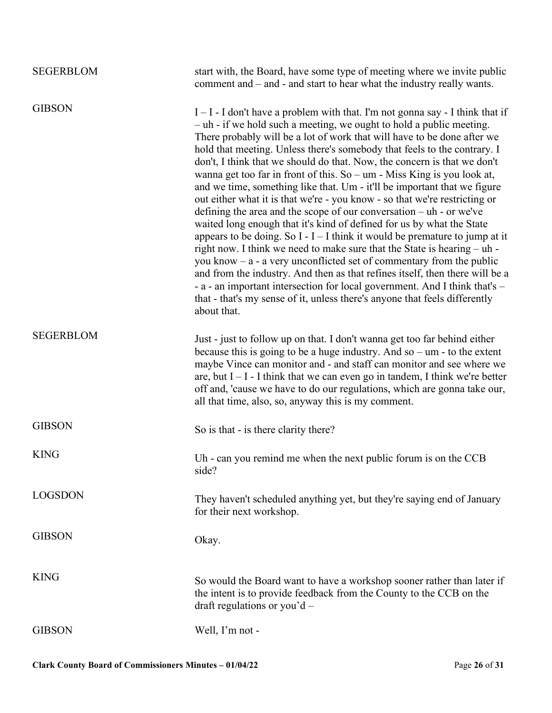| <b>SEGERBLOM</b> | start with, the Board, have some type of meeting where we invite public<br>comment and – and - and start to hear what the industry really wants.                                                                                                                                                                                                                                                                                                                                                                                                                                                                                                                                                                                                                                                                                                                                                                                                                                                                                                                                                                                                                                                                                                                                                 |
|------------------|--------------------------------------------------------------------------------------------------------------------------------------------------------------------------------------------------------------------------------------------------------------------------------------------------------------------------------------------------------------------------------------------------------------------------------------------------------------------------------------------------------------------------------------------------------------------------------------------------------------------------------------------------------------------------------------------------------------------------------------------------------------------------------------------------------------------------------------------------------------------------------------------------------------------------------------------------------------------------------------------------------------------------------------------------------------------------------------------------------------------------------------------------------------------------------------------------------------------------------------------------------------------------------------------------|
| <b>GIBSON</b>    | $I - I$ - I don't have a problem with that. I'm not gonna say - I think that if<br>$-$ uh - if we hold such a meeting, we ought to hold a public meeting.<br>There probably will be a lot of work that will have to be done after we<br>hold that meeting. Unless there's somebody that feels to the contrary. I<br>don't, I think that we should do that. Now, the concern is that we don't<br>wanna get too far in front of this. So – $um$ - Miss King is you look at,<br>and we time, something like that. Um - it'll be important that we figure<br>out either what it is that we're - you know - so that we're restricting or<br>defining the area and the scope of our conversation $-\mathbf{u}$ - or we've<br>waited long enough that it's kind of defined for us by what the State<br>appears to be doing. So $I - I - I$ think it would be premature to jump at it<br>right now. I think we need to make sure that the State is hearing – uh -<br>you know $-$ a $-$ a very unconflicted set of commentary from the public<br>and from the industry. And then as that refines itself, then there will be a<br>- a - an important intersection for local government. And I think that's –<br>that - that's my sense of it, unless there's anyone that feels differently<br>about that. |
| <b>SEGERBLOM</b> | Just - just to follow up on that. I don't wanna get too far behind either<br>because this is going to be a huge industry. And so $-$ um $-$ to the extent<br>maybe Vince can monitor and - and staff can monitor and see where we<br>are, but $I - I$ - I think that we can even go in tandem, I think we're better<br>off and, 'cause we have to do our regulations, which are gonna take our,<br>all that time, also, so, anyway this is my comment.                                                                                                                                                                                                                                                                                                                                                                                                                                                                                                                                                                                                                                                                                                                                                                                                                                           |
| <b>GIBSON</b>    | So is that - is there clarity there?                                                                                                                                                                                                                                                                                                                                                                                                                                                                                                                                                                                                                                                                                                                                                                                                                                                                                                                                                                                                                                                                                                                                                                                                                                                             |
| <b>KING</b>      | Uh - can you remind me when the next public forum is on the CCB<br>side?                                                                                                                                                                                                                                                                                                                                                                                                                                                                                                                                                                                                                                                                                                                                                                                                                                                                                                                                                                                                                                                                                                                                                                                                                         |
| <b>LOGSDON</b>   | They haven't scheduled anything yet, but they're saying end of January<br>for their next workshop.                                                                                                                                                                                                                                                                                                                                                                                                                                                                                                                                                                                                                                                                                                                                                                                                                                                                                                                                                                                                                                                                                                                                                                                               |
| <b>GIBSON</b>    | Okay.                                                                                                                                                                                                                                                                                                                                                                                                                                                                                                                                                                                                                                                                                                                                                                                                                                                                                                                                                                                                                                                                                                                                                                                                                                                                                            |
| <b>KING</b>      | So would the Board want to have a workshop sooner rather than later if<br>the intent is to provide feedback from the County to the CCB on the<br>draft regulations or you'd $-$                                                                                                                                                                                                                                                                                                                                                                                                                                                                                                                                                                                                                                                                                                                                                                                                                                                                                                                                                                                                                                                                                                                  |
| <b>GIBSON</b>    | Well, I'm not -                                                                                                                                                                                                                                                                                                                                                                                                                                                                                                                                                                                                                                                                                                                                                                                                                                                                                                                                                                                                                                                                                                                                                                                                                                                                                  |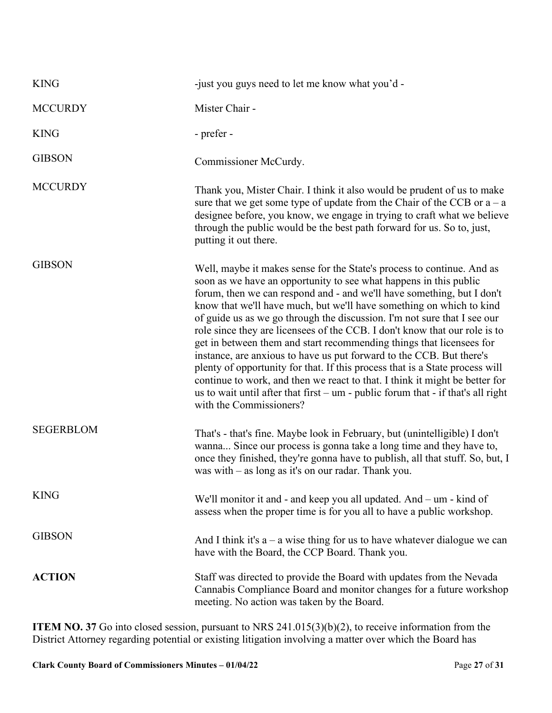| <b>KING</b>      | -just you guys need to let me know what you'd -                                                                                                                                                                                                                                                                                                                                                                                                                                                                                                                                                                                                                                                                                                                                                                                                                                         |
|------------------|-----------------------------------------------------------------------------------------------------------------------------------------------------------------------------------------------------------------------------------------------------------------------------------------------------------------------------------------------------------------------------------------------------------------------------------------------------------------------------------------------------------------------------------------------------------------------------------------------------------------------------------------------------------------------------------------------------------------------------------------------------------------------------------------------------------------------------------------------------------------------------------------|
| <b>MCCURDY</b>   | Mister Chair -                                                                                                                                                                                                                                                                                                                                                                                                                                                                                                                                                                                                                                                                                                                                                                                                                                                                          |
| <b>KING</b>      | - prefer -                                                                                                                                                                                                                                                                                                                                                                                                                                                                                                                                                                                                                                                                                                                                                                                                                                                                              |
| <b>GIBSON</b>    | Commissioner McCurdy.                                                                                                                                                                                                                                                                                                                                                                                                                                                                                                                                                                                                                                                                                                                                                                                                                                                                   |
| <b>MCCURDY</b>   | Thank you, Mister Chair. I think it also would be prudent of us to make<br>sure that we get some type of update from the Chair of the CCB or $a - a$<br>designee before, you know, we engage in trying to craft what we believe<br>through the public would be the best path forward for us. So to, just,<br>putting it out there.                                                                                                                                                                                                                                                                                                                                                                                                                                                                                                                                                      |
| <b>GIBSON</b>    | Well, maybe it makes sense for the State's process to continue. And as<br>soon as we have an opportunity to see what happens in this public<br>forum, then we can respond and - and we'll have something, but I don't<br>know that we'll have much, but we'll have something on which to kind<br>of guide us as we go through the discussion. I'm not sure that I see our<br>role since they are licensees of the CCB. I don't know that our role is to<br>get in between them and start recommending things that licensees for<br>instance, are anxious to have us put forward to the CCB. But there's<br>plenty of opportunity for that. If this process that is a State process will<br>continue to work, and then we react to that. I think it might be better for<br>us to wait until after that first $-$ um - public forum that - if that's all right<br>with the Commissioners? |
| <b>SEGERBLOM</b> | That's - that's fine. Maybe look in February, but (unintelligible) I don't<br>wanna Since our process is gonna take a long time and they have to,<br>once they finished, they're gonna have to publish, all that stuff. So, but, I<br>was with $-$ as long as it's on our radar. Thank you.                                                                                                                                                                                                                                                                                                                                                                                                                                                                                                                                                                                             |
| <b>KING</b>      | We'll monitor it and - and keep you all updated. And $-$ um - kind of<br>assess when the proper time is for you all to have a public workshop.                                                                                                                                                                                                                                                                                                                                                                                                                                                                                                                                                                                                                                                                                                                                          |
| <b>GIBSON</b>    | And I think it's $a - a$ wise thing for us to have whatever dialogue we can<br>have with the Board, the CCP Board. Thank you.                                                                                                                                                                                                                                                                                                                                                                                                                                                                                                                                                                                                                                                                                                                                                           |
| <b>ACTION</b>    | Staff was directed to provide the Board with updates from the Nevada<br>Cannabis Compliance Board and monitor changes for a future workshop<br>meeting. No action was taken by the Board.                                                                                                                                                                                                                                                                                                                                                                                                                                                                                                                                                                                                                                                                                               |

**ITEM NO. 37** Go into closed session, pursuant to NRS 241.015(3)(b)(2), to receive information from the District Attorney regarding potential or existing litigation involving a matter over which the Board has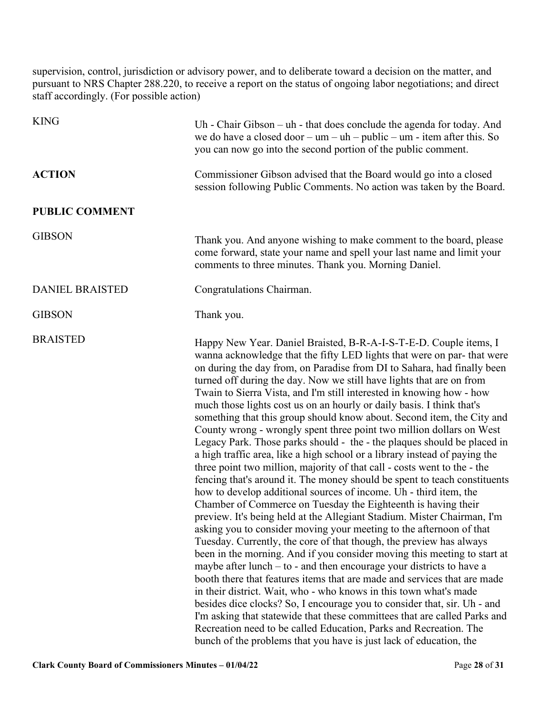supervision, control, jurisdiction or advisory power, and to deliberate toward a decision on the matter, and pursuant to NRS Chapter 288.220, to receive a report on the status of ongoing labor negotiations; and direct staff accordingly. (For possible action)

| <b>KING</b>            | Uh - Chair Gibson $-$ uh - that does conclude the agenda for today. And<br>we do have a closed door $-\text{um} - \text{uh} - \text{public} - \text{um}$ - item after this. So<br>you can now go into the second portion of the public comment.                                                                                                                                                                                                                                                                                                                                                                                                                                                                                                                                                                                                                                                                                                                                                                                                                                                                                                                                                                                                                                                                                                                                                                                                                                                                                                                                                                                                                                                                                                                                                                                                                                                  |
|------------------------|--------------------------------------------------------------------------------------------------------------------------------------------------------------------------------------------------------------------------------------------------------------------------------------------------------------------------------------------------------------------------------------------------------------------------------------------------------------------------------------------------------------------------------------------------------------------------------------------------------------------------------------------------------------------------------------------------------------------------------------------------------------------------------------------------------------------------------------------------------------------------------------------------------------------------------------------------------------------------------------------------------------------------------------------------------------------------------------------------------------------------------------------------------------------------------------------------------------------------------------------------------------------------------------------------------------------------------------------------------------------------------------------------------------------------------------------------------------------------------------------------------------------------------------------------------------------------------------------------------------------------------------------------------------------------------------------------------------------------------------------------------------------------------------------------------------------------------------------------------------------------------------------------|
| <b>ACTION</b>          | Commissioner Gibson advised that the Board would go into a closed<br>session following Public Comments. No action was taken by the Board.                                                                                                                                                                                                                                                                                                                                                                                                                                                                                                                                                                                                                                                                                                                                                                                                                                                                                                                                                                                                                                                                                                                                                                                                                                                                                                                                                                                                                                                                                                                                                                                                                                                                                                                                                        |
| <b>PUBLIC COMMENT</b>  |                                                                                                                                                                                                                                                                                                                                                                                                                                                                                                                                                                                                                                                                                                                                                                                                                                                                                                                                                                                                                                                                                                                                                                                                                                                                                                                                                                                                                                                                                                                                                                                                                                                                                                                                                                                                                                                                                                  |
| <b>GIBSON</b>          | Thank you. And anyone wishing to make comment to the board, please<br>come forward, state your name and spell your last name and limit your<br>comments to three minutes. Thank you. Morning Daniel.                                                                                                                                                                                                                                                                                                                                                                                                                                                                                                                                                                                                                                                                                                                                                                                                                                                                                                                                                                                                                                                                                                                                                                                                                                                                                                                                                                                                                                                                                                                                                                                                                                                                                             |
| <b>DANIEL BRAISTED</b> | Congratulations Chairman.                                                                                                                                                                                                                                                                                                                                                                                                                                                                                                                                                                                                                                                                                                                                                                                                                                                                                                                                                                                                                                                                                                                                                                                                                                                                                                                                                                                                                                                                                                                                                                                                                                                                                                                                                                                                                                                                        |
| <b>GIBSON</b>          | Thank you.                                                                                                                                                                                                                                                                                                                                                                                                                                                                                                                                                                                                                                                                                                                                                                                                                                                                                                                                                                                                                                                                                                                                                                                                                                                                                                                                                                                                                                                                                                                                                                                                                                                                                                                                                                                                                                                                                       |
| <b>BRAISTED</b>        | Happy New Year. Daniel Braisted, B-R-A-I-S-T-E-D. Couple items, I<br>wanna acknowledge that the fifty LED lights that were on par- that were<br>on during the day from, on Paradise from DI to Sahara, had finally been<br>turned off during the day. Now we still have lights that are on from<br>Twain to Sierra Vista, and I'm still interested in knowing how - how<br>much those lights cost us on an hourly or daily basis. I think that's<br>something that this group should know about. Second item, the City and<br>County wrong - wrongly spent three point two million dollars on West<br>Legacy Park. Those parks should - the - the plaques should be placed in<br>a high traffic area, like a high school or a library instead of paying the<br>three point two million, majority of that call - costs went to the - the<br>fencing that's around it. The money should be spent to teach constituents<br>how to develop additional sources of income. Uh - third item, the<br>Chamber of Commerce on Tuesday the Eighteenth is having their<br>preview. It's being held at the Allegiant Stadium. Mister Chairman, I'm<br>asking you to consider moving your meeting to the afternoon of that<br>Tuesday. Currently, the core of that though, the preview has always<br>been in the morning. And if you consider moving this meeting to start at<br>maybe after lunch $-$ to $-$ and then encourage your districts to have a<br>booth there that features items that are made and services that are made<br>in their district. Wait, who - who knows in this town what's made<br>besides dice clocks? So, I encourage you to consider that, sir. Uh - and<br>I'm asking that statewide that these committees that are called Parks and<br>Recreation need to be called Education, Parks and Recreation. The<br>bunch of the problems that you have is just lack of education, the |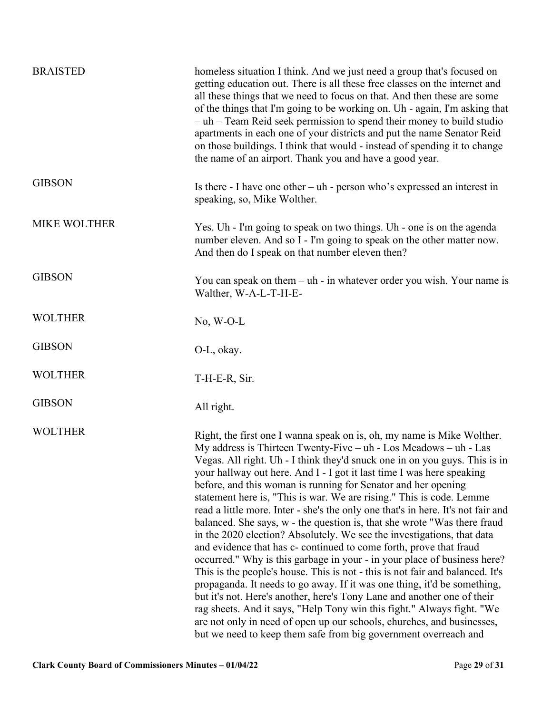| <b>BRAISTED</b>     | homeless situation I think. And we just need a group that's focused on<br>getting education out. There is all these free classes on the internet and<br>all these things that we need to focus on that. And then these are some<br>of the things that I'm going to be working on. Uh - again, I'm asking that<br>$-\uh$ – Team Reid seek permission to spend their money to build studio<br>apartments in each one of your districts and put the name Senator Reid<br>on those buildings. I think that would - instead of spending it to change<br>the name of an airport. Thank you and have a good year.                                                                                                                                                                                                                                                                                                                                                                                                                                                                                                                                                                                                                                                                                            |
|---------------------|-------------------------------------------------------------------------------------------------------------------------------------------------------------------------------------------------------------------------------------------------------------------------------------------------------------------------------------------------------------------------------------------------------------------------------------------------------------------------------------------------------------------------------------------------------------------------------------------------------------------------------------------------------------------------------------------------------------------------------------------------------------------------------------------------------------------------------------------------------------------------------------------------------------------------------------------------------------------------------------------------------------------------------------------------------------------------------------------------------------------------------------------------------------------------------------------------------------------------------------------------------------------------------------------------------|
| <b>GIBSON</b>       | Is there - I have one other $-\text{uh}$ - person who's expressed an interest in<br>speaking, so, Mike Wolther.                                                                                                                                                                                                                                                                                                                                                                                                                                                                                                                                                                                                                                                                                                                                                                                                                                                                                                                                                                                                                                                                                                                                                                                       |
| <b>MIKE WOLTHER</b> | Yes. Uh - I'm going to speak on two things. Uh - one is on the agenda<br>number eleven. And so I - I'm going to speak on the other matter now.<br>And then do I speak on that number eleven then?                                                                                                                                                                                                                                                                                                                                                                                                                                                                                                                                                                                                                                                                                                                                                                                                                                                                                                                                                                                                                                                                                                     |
| <b>GIBSON</b>       | You can speak on them $-$ uh - in whatever order you wish. Your name is<br>Walther, W-A-L-T-H-E-                                                                                                                                                                                                                                                                                                                                                                                                                                                                                                                                                                                                                                                                                                                                                                                                                                                                                                                                                                                                                                                                                                                                                                                                      |
| <b>WOLTHER</b>      | No, W-O-L                                                                                                                                                                                                                                                                                                                                                                                                                                                                                                                                                                                                                                                                                                                                                                                                                                                                                                                                                                                                                                                                                                                                                                                                                                                                                             |
| <b>GIBSON</b>       | O-L, okay.                                                                                                                                                                                                                                                                                                                                                                                                                                                                                                                                                                                                                                                                                                                                                                                                                                                                                                                                                                                                                                                                                                                                                                                                                                                                                            |
| <b>WOLTHER</b>      | T-H-E-R, Sir.                                                                                                                                                                                                                                                                                                                                                                                                                                                                                                                                                                                                                                                                                                                                                                                                                                                                                                                                                                                                                                                                                                                                                                                                                                                                                         |
| <b>GIBSON</b>       | All right.                                                                                                                                                                                                                                                                                                                                                                                                                                                                                                                                                                                                                                                                                                                                                                                                                                                                                                                                                                                                                                                                                                                                                                                                                                                                                            |
| <b>WOLTHER</b>      | Right, the first one I wanna speak on is, oh, my name is Mike Wolther.<br>My address is Thirteen Twenty-Five - uh - Los Meadows - uh - Las<br>Vegas. All right. Uh - I think they'd snuck one in on you guys. This is in<br>your hallway out here. And I - I got it last time I was here speaking<br>before, and this woman is running for Senator and her opening<br>statement here is, "This is war. We are rising." This is code. Lemme<br>read a little more. Inter - she's the only one that's in here. It's not fair and<br>balanced. She says, w - the question is, that she wrote "Was there fraud<br>in the 2020 election? Absolutely. We see the investigations, that data<br>and evidence that has c- continued to come forth, prove that fraud<br>occurred." Why is this garbage in your - in your place of business here?<br>This is the people's house. This is not - this is not fair and balanced. It's<br>propaganda. It needs to go away. If it was one thing, it'd be something,<br>but it's not. Here's another, here's Tony Lane and another one of their<br>rag sheets. And it says, "Help Tony win this fight." Always fight. "We<br>are not only in need of open up our schools, churches, and businesses,<br>but we need to keep them safe from big government overreach and |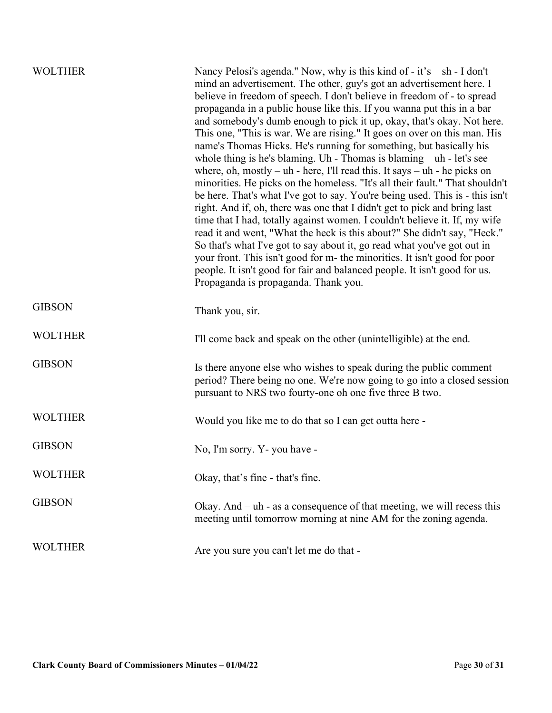| <b>WOLTHER</b> | Nancy Pelosi's agenda." Now, why is this kind of - it's $-$ sh - I don't<br>mind an advertisement. The other, guy's got an advertisement here. I<br>believe in freedom of speech. I don't believe in freedom of - to spread<br>propaganda in a public house like this. If you wanna put this in a bar<br>and somebody's dumb enough to pick it up, okay, that's okay. Not here.<br>This one, "This is war. We are rising." It goes on over on this man. His<br>name's Thomas Hicks. He's running for something, but basically his<br>whole thing is he's blaming. Uh - Thomas is blaming $-$ uh - let's see<br>where, oh, mostly - uh - here, I'll read this. It says - uh - he picks on<br>minorities. He picks on the homeless. "It's all their fault." That shouldn't<br>be here. That's what I've got to say. You're being used. This is - this isn't<br>right. And if, oh, there was one that I didn't get to pick and bring last<br>time that I had, totally against women. I couldn't believe it. If, my wife<br>read it and went, "What the heck is this about?" She didn't say, "Heck."<br>So that's what I've got to say about it, go read what you've got out in<br>your front. This isn't good for m- the minorities. It isn't good for poor<br>people. It isn't good for fair and balanced people. It isn't good for us.<br>Propaganda is propaganda. Thank you. |
|----------------|-------------------------------------------------------------------------------------------------------------------------------------------------------------------------------------------------------------------------------------------------------------------------------------------------------------------------------------------------------------------------------------------------------------------------------------------------------------------------------------------------------------------------------------------------------------------------------------------------------------------------------------------------------------------------------------------------------------------------------------------------------------------------------------------------------------------------------------------------------------------------------------------------------------------------------------------------------------------------------------------------------------------------------------------------------------------------------------------------------------------------------------------------------------------------------------------------------------------------------------------------------------------------------------------------------------------------------------------------------------------------------|
| <b>GIBSON</b>  | Thank you, sir.                                                                                                                                                                                                                                                                                                                                                                                                                                                                                                                                                                                                                                                                                                                                                                                                                                                                                                                                                                                                                                                                                                                                                                                                                                                                                                                                                               |
| <b>WOLTHER</b> | I'll come back and speak on the other (unintelligible) at the end.                                                                                                                                                                                                                                                                                                                                                                                                                                                                                                                                                                                                                                                                                                                                                                                                                                                                                                                                                                                                                                                                                                                                                                                                                                                                                                            |
| <b>GIBSON</b>  | Is there anyone else who wishes to speak during the public comment<br>period? There being no one. We're now going to go into a closed session<br>pursuant to NRS two fourty-one oh one five three B two.                                                                                                                                                                                                                                                                                                                                                                                                                                                                                                                                                                                                                                                                                                                                                                                                                                                                                                                                                                                                                                                                                                                                                                      |
| <b>WOLTHER</b> | Would you like me to do that so I can get outta here -                                                                                                                                                                                                                                                                                                                                                                                                                                                                                                                                                                                                                                                                                                                                                                                                                                                                                                                                                                                                                                                                                                                                                                                                                                                                                                                        |
| <b>GIBSON</b>  | No, I'm sorry. Y- you have -                                                                                                                                                                                                                                                                                                                                                                                                                                                                                                                                                                                                                                                                                                                                                                                                                                                                                                                                                                                                                                                                                                                                                                                                                                                                                                                                                  |
| <b>WOLTHER</b> | Okay, that's fine - that's fine.                                                                                                                                                                                                                                                                                                                                                                                                                                                                                                                                                                                                                                                                                                                                                                                                                                                                                                                                                                                                                                                                                                                                                                                                                                                                                                                                              |
| <b>GIBSON</b>  | Okay. And $-$ uh - as a consequence of that meeting, we will recess this<br>meeting until tomorrow morning at nine AM for the zoning agenda.                                                                                                                                                                                                                                                                                                                                                                                                                                                                                                                                                                                                                                                                                                                                                                                                                                                                                                                                                                                                                                                                                                                                                                                                                                  |
| <b>WOLTHER</b> | Are you sure you can't let me do that -                                                                                                                                                                                                                                                                                                                                                                                                                                                                                                                                                                                                                                                                                                                                                                                                                                                                                                                                                                                                                                                                                                                                                                                                                                                                                                                                       |